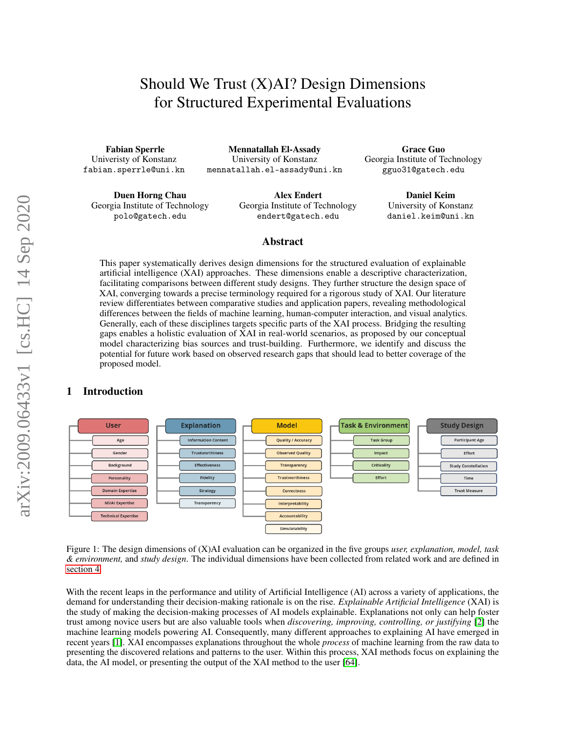# Should We Trust (X)AI? Design Dimensions for Structured Experimental Evaluations

Fabian Sperrle Univeristy of Konstanz fabian.sperrle@uni.kn

Mennatallah El-Assady University of Konstanz mennatallah.el-assady@uni.kn

Duen Horng Chau Georgia Institute of Technology polo@gatech.edu

Alex Endert Georgia Institute of Technology endert@gatech.edu

Grace Guo Georgia Institute of Technology gguo31@gatech.edu

> Daniel Keim University of Konstanz daniel.keim@uni.kn

#### Abstract

This paper systematically derives design dimensions for the structured evaluation of explainable artificial intelligence (XAI) approaches. These dimensions enable a descriptive characterization, facilitating comparisons between different study designs. They further structure the design space of XAI, converging towards a precise terminology required for a rigorous study of XAI. Our literature review differentiates between comparative studies and application papers, revealing methodological differences between the fields of machine learning, human-computer interaction, and visual analytics. Generally, each of these disciplines targets specific parts of the XAI process. Bridging the resulting gaps enables a holistic evaluation of XAI in real-world scenarios, as proposed by our conceptual model characterizing bias sources and trust-building. Furthermore, we identify and discuss the potential for future work based on observed research gaps that should lead to better coverage of the proposed model.

# 1 Introduction



<span id="page-0-0"></span>Figure 1: The design dimensions of (X)AI evaluation can be organized in the five groups *user, explanation, model, task & environment,* and *study design*. The individual dimensions have been collected from related work and are defined in [section 4.](#page-6-0)

With the recent leaps in the performance and utility of Artificial Intelligence (AI) across a variety of applications, the demand for understanding their decision-making rationale is on the rise. *Explainable Artificial Intelligence* (XAI) is the study of making the decision-making processes of AI models explainable. Explanations not only can help foster trust among novice users but are also valuable tools when *discovering, improving, controlling, or justifying* [\[2\]](#page-12-0) the machine learning models powering AI. Consequently, many different approaches to explaining AI have emerged in recent years [\[1\]](#page-12-1). XAI encompasses explanations throughout the whole *process* of machine learning from the raw data to presenting the discovered relations and patterns to the user. Within this process, XAI methods focus on explaining the data, the AI model, or presenting the output of the XAI method to the user [\[64\]](#page-16-0).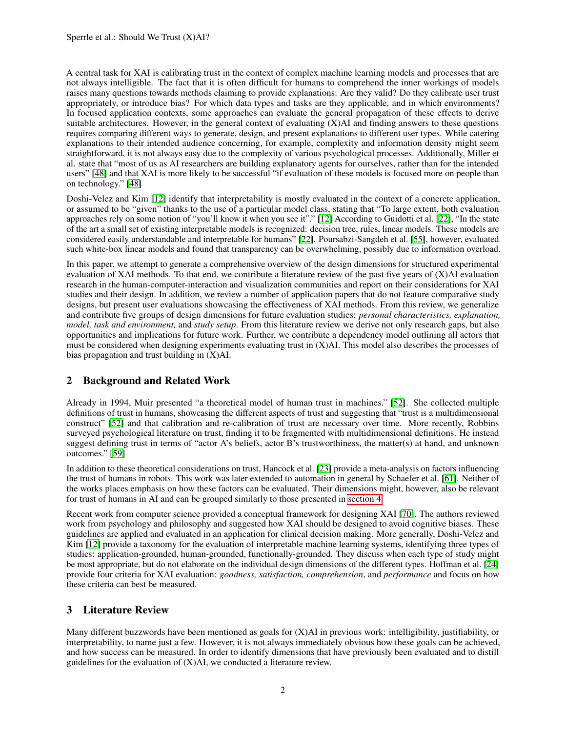A central task for XAI is calibrating trust in the context of complex machine learning models and processes that are not always intelligible. The fact that it is often difficult for humans to comprehend the inner workings of models raises many questions towards methods claiming to provide explanations: Are they valid? Do they calibrate user trust appropriately, or introduce bias? For which data types and tasks are they applicable, and in which environments? In focused application contexts, some approaches can evaluate the general propagation of these effects to derive suitable architectures. However, in the general context of evaluating  $(X)$ AI and finding answers to these questions requires comparing different ways to generate, design, and present explanations to different user types. While catering explanations to their intended audience concerning, for example, complexity and information density might seem straightforward, it is not always easy due to the complexity of various psychological processes. Additionally, Miller et al. state that "most of us as AI researchers are building explanatory agents for ourselves, rather than for the intended users" [\[48\]](#page-15-0) and that XAI is more likely to be successful "if evaluation of these models is focused more on people than on technology." [\[48\]](#page-15-0)

Doshi-Velez and Kim [\[12\]](#page-13-0) identify that interpretability is mostly evaluated in the context of a concrete application, or assumed to be "given" thanks to the use of a particular model class, stating that "To large extent, both evaluation approaches rely on some notion of "you'll know it when you see it"." [\[12\]](#page-13-0) According to Guidotti et al. [\[22\]](#page-13-1), "In the state of the art a small set of existing interpretable models is recognized: decision tree, rules, linear models. These models are considered easily understandable and interpretable for humans" [\[22\]](#page-13-1). Poursabzi-Sangdeh et al. [\[55\]](#page-15-1), however, evaluated such white-box linear models and found that transparency can be overwhelming, possibly due to information overload.

In this paper, we attempt to generate a comprehensive overview of the design dimensions for structured experimental evaluation of XAI methods. To that end, we contribute a literature review of the past five years of (X)AI evaluation research in the human-computer-interaction and visualization communities and report on their considerations for XAI studies and their design. In addition, we review a number of application papers that do not feature comparative study designs, but present user evaluations showcasing the effectiveness of XAI methods. From this review, we generalize and contribute five groups of design dimensions for future evaluation studies: *personal characteristics, explanation, model, task and environment,* and *study setup*. From this literature review we derive not only research gaps, but also opportunities and implications for future work. Further, we contribute a dependency model outlining all actors that must be considered when designing experiments evaluating trust in (X)AI. This model also describes the processes of bias propagation and trust building in (X)AI.

# 2 Background and Related Work

Already in 1994, Muir presented "a theoretical model of human trust in machines." [\[52\]](#page-15-2). She collected multiple definitions of trust in humans, showcasing the different aspects of trust and suggesting that "trust is a multidimensional construct" [\[52\]](#page-15-2) and that calibration and re-calibration of trust are necessary over time. More recently, Robbins surveyed psychological literature on trust, finding it to be fragmented with multidimensional definitions. He instead suggest defining trust in terms of "actor A's beliefs, actor B's trustworthiness, the matter(s) at hand, and unknown outcomes." [\[59\]](#page-16-1)

In addition to these theoretical considerations on trust, Hancock et al. [\[23\]](#page-13-2) provide a meta-analysis on factors influencing the trust of humans in robots. This work was later extended to automation in general by Schaefer et al. [\[61\]](#page-16-2). Neither of the works places emphasis on how these factors can be evaluated. Their dimensions might, however, also be relevant for trust of humans in AI and can be grouped similarly to those presented in [section 4.](#page-6-0)

Recent work from computer science provided a conceptual framework for designing XAI [\[70\]](#page-16-3). The authors reviewed work from psychology and philosophy and suggested how XAI should be designed to avoid cognitive biases. These guidelines are applied and evaluated in an application for clinical decision making. More generally, Doshi-Velez and Kim [\[12\]](#page-13-0) provide a taxonomy for the evaluation of interpretable machine learning systems, identifying three types of studies: application-grounded, human-grounded, functionally-grounded. They discuss when each type of study might be most appropriate, but do not elaborate on the individual design dimensions of the different types. Hoffman et al. [\[24\]](#page-13-3) provide four criteria for XAI evaluation: *goodness, satisfaction, comprehension*, and *performance* and focus on how these criteria can best be measured.

# 3 Literature Review

Many different buzzwords have been mentioned as goals for  $(X)$ AI in previous work: intelligibility, justifiability, or interpretability, to name just a few. However, it is not always immediately obvious how these goals can be achieved, and how success can be measured. In order to identify dimensions that have previously been evaluated and to distill guidelines for the evaluation of  $(X)$ AI, we conducted a literature review.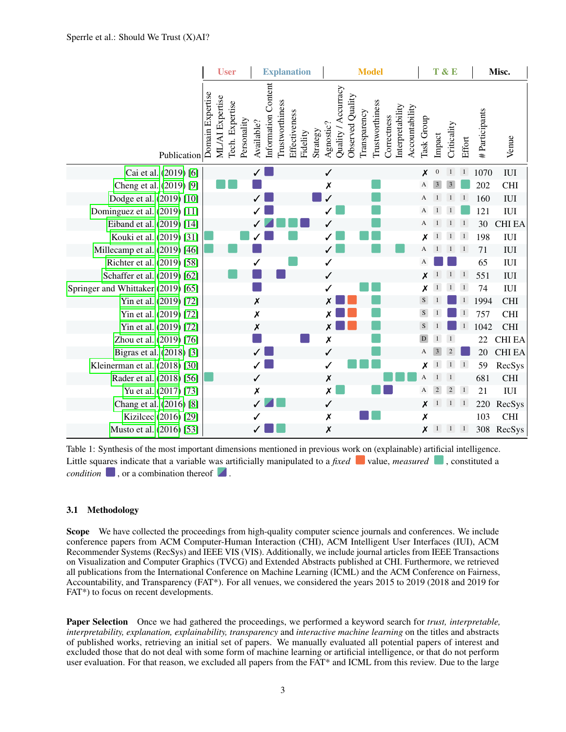|                                    | <b>User</b>                                                           | <b>Explanation</b>                                                                            | <b>Model</b>                                                                                                                                 | T & E      |                  |                         |                | Misc.         |               |  |  |
|------------------------------------|-----------------------------------------------------------------------|-----------------------------------------------------------------------------------------------|----------------------------------------------------------------------------------------------------------------------------------------------|------------|------------------|-------------------------|----------------|---------------|---------------|--|--|
| Publication                        | Domain Expertise<br>ML/AI Expertise<br>Tech. Expertise<br>Personality | Information Content<br>Trustworthiness<br>Effectiveness<br>Available?<br>Strategy<br>Fidelity | Quality / Accurracy<br>Observed Quality<br>Trustworthiness<br>Interpretability<br>Accountability<br>Transparency<br>Correctness<br>Agnostic? | Task Group | Impact           | Criticality             | Effort         | #Participants | Venue         |  |  |
| Cai et al. (2019) [6]              |                                                                       |                                                                                               | $\checkmark$                                                                                                                                 | X          | $\boldsymbol{0}$ | 1                       | $\overline{1}$ | 1070          | <b>IUI</b>    |  |  |
| Cheng et al. (2019) [9]            |                                                                       |                                                                                               | X                                                                                                                                            | A          | $\overline{3}$   | $\overline{\mathbf{3}}$ |                | 202           | <b>CHI</b>    |  |  |
| Dodge et al. (2019) [10]           |                                                                       |                                                                                               |                                                                                                                                              | A          | $\mathbf{1}$     | $\mathbf 1$             | $\overline{1}$ | 160           | <b>IUI</b>    |  |  |
| Dominguez et al. (2019) [11]       |                                                                       |                                                                                               |                                                                                                                                              | A          |                  | -1                      |                | 121           | $\rm{IUI}$    |  |  |
| Eiband et al. (2019) [14]          |                                                                       |                                                                                               | ✓                                                                                                                                            | А          |                  | $\overline{1}$          | $\overline{1}$ | 30            | <b>CHI EA</b> |  |  |
| Kouki et al. (2019) [31]           |                                                                       |                                                                                               |                                                                                                                                              | x          | $\mathbf 1$      | $\mathbf{1}$            | $\overline{1}$ | 198           | <b>IUI</b>    |  |  |
| Millecamp et al. (2019) [46]       |                                                                       |                                                                                               |                                                                                                                                              | А          |                  | <sup>1</sup>            | $\overline{1}$ | 71            | <b>IUI</b>    |  |  |
| Richter et al. (2019) [58]         |                                                                       |                                                                                               | $\checkmark$                                                                                                                                 | A          |                  |                         |                | 65            | <b>IUI</b>    |  |  |
| Schaffer et al. (2019) [62]        |                                                                       |                                                                                               | ✓                                                                                                                                            | Х          |                  |                         | $\overline{1}$ | 551           | <b>IUI</b>    |  |  |
| Springer and Whittaker (2019) [65] |                                                                       |                                                                                               | ✓                                                                                                                                            | X          |                  |                         | $\overline{1}$ | 74            | <b>IUI</b>    |  |  |
| Yin et al. (2019) [72]             |                                                                       | $\pmb{\mathsf{x}}$                                                                            | Χ                                                                                                                                            | S          |                  |                         |                | 1994          | <b>CHI</b>    |  |  |
| Yin et al. (2019) [72]             |                                                                       | $\pmb{\mathsf{X}}$                                                                            | Х                                                                                                                                            | ${\bf S}$  |                  |                         | -1             | 757           | <b>CHI</b>    |  |  |
| Yin et al. (2019) [72]             |                                                                       | Х                                                                                             | Х                                                                                                                                            | S          |                  |                         |                | 1042          | <b>CHI</b>    |  |  |
| Zhou et al. (2019) [76]            |                                                                       |                                                                                               | $\boldsymbol{x}$                                                                                                                             | D          |                  | $\overline{1}$          |                | 22            | <b>CHI EA</b> |  |  |
| Bigras et al. (2018) [3]           |                                                                       |                                                                                               | ✓                                                                                                                                            | А          | 3                | $\overline{2}$          |                | 20            | <b>CHI EA</b> |  |  |
| Kleinerman et al. (2018) [30]      |                                                                       |                                                                                               | ✓                                                                                                                                            | Х          |                  | $\mathbf{1}$            | $\overline{1}$ | 59            | RecSys        |  |  |
| Rader et al. (2018) [56]           |                                                                       | ✓                                                                                             | $\pmb{\mathsf{x}}$                                                                                                                           | А          |                  | 1                       |                | 681           | $\rm CHI$     |  |  |
| Yu et al. (2017) [73]              |                                                                       | Х                                                                                             | $\boldsymbol{x}$                                                                                                                             | A          | $\overline{2}$   | $\overline{2}$          | $\overline{1}$ | 21            | $\rm{IUI}$    |  |  |
| Chang et al. (2016) [8]            |                                                                       |                                                                                               | ✓                                                                                                                                            | Х          | $\mathbf{1}$     | $\overline{1}$          | $\overline{1}$ | 220           | RecSys        |  |  |
| Kizilcec (2016) [29]               |                                                                       |                                                                                               | $\pmb{\mathsf{x}}$                                                                                                                           | X          |                  |                         |                | 103           | $\rm CHI$     |  |  |
| Musto et al. (2016) [53]           |                                                                       |                                                                                               | $\pmb{\mathsf{x}}$                                                                                                                           | X          | $\mathbf{1}$     | $\overline{1}$          | $\overline{1}$ |               | 308 RecSys    |  |  |

<span id="page-2-0"></span>Table 1: Synthesis of the most important dimensions mentioned in previous work on (explainable) artificial intelligence. Little squares indicate that a variable was artificially manipulated to a *fixed* value, *measured*, constituted a *condition*  $\blacksquare$ , or a combination thereof  $\blacktriangle$ .

#### 3.1 Methodology

Scope We have collected the proceedings from high-quality computer science journals and conferences. We include conference papers from ACM Computer-Human Interaction (CHI), ACM Intelligent User Interfaces (IUI), ACM Recommender Systems (RecSys) and IEEE VIS (VIS). Additionally, we include journal articles from IEEE Transactions on Visualization and Computer Graphics (TVCG) and Extended Abstracts published at CHI. Furthermore, we retrieved all publications from the International Conference on Machine Learning (ICML) and the ACM Conference on Fairness, Accountability, and Transparency (FAT\*). For all venues, we considered the years 2015 to 2019 (2018 and 2019 for FAT\*) to focus on recent developments.

Paper Selection Once we had gathered the proceedings, we performed a keyword search for *trust, interpretable, interpretability, explanation, explainability, transparency* and *interactive machine learning* on the titles and abstracts of published works, retrieving an initial set of papers. We manually evaluated all potential papers of interest and excluded those that do not deal with some form of machine learning or artificial intelligence, or that do not perform user evaluation. For that reason, we excluded all papers from the FAT\* and ICML from this review. Due to the large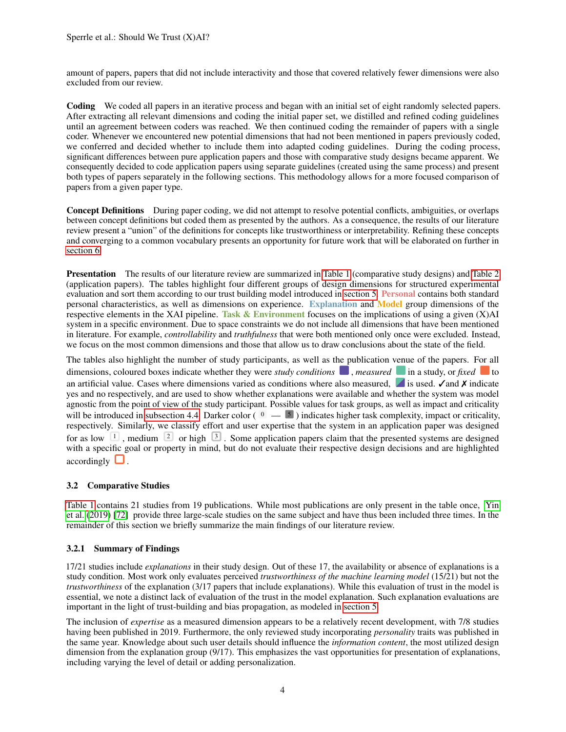amount of papers, papers that did not include interactivity and those that covered relatively fewer dimensions were also excluded from our review.

Coding We coded all papers in an iterative process and began with an initial set of eight randomly selected papers. After extracting all relevant dimensions and coding the initial paper set, we distilled and refined coding guidelines until an agreement between coders was reached. We then continued coding the remainder of papers with a single coder. Whenever we encountered new potential dimensions that had not been mentioned in papers previously coded, we conferred and decided whether to include them into adapted coding guidelines. During the coding process, significant differences between pure application papers and those with comparative study designs became apparent. We consequently decided to code application papers using separate guidelines (created using the same process) and present both types of papers separately in the following sections. This methodology allows for a more focused comparison of papers from a given paper type.

Concept Definitions During paper coding, we did not attempt to resolve potential conflicts, ambiguities, or overlaps between concept definitions but coded them as presented by the authors. As a consequence, the results of our literature review present a "union" of the definitions for concepts like trustworthiness or interpretability. Refining these concepts and converging to a common vocabulary presents an opportunity for future work that will be elaborated on further in [section 6.](#page-10-0)

Presentation The results of our literature review are summarized in [Table 1](#page-2-0) (comparative study designs) and [Table 2](#page-5-0) (application papers). The tables highlight four different groups of design dimensions for structured experimental evaluation and sort them according to our trust building model introduced in [section 5.](#page-9-0) Personal contains both standard personal characteristics, as well as dimensions on experience. Explanation and Model group dimensions of the respective elements in the XAI pipeline. Task  $\&$  Environment focuses on the implications of using a given (X)AI system in a specific environment. Due to space constraints we do not include all dimensions that have been mentioned in literature. For example, *controllability* and *truthfulness* that were both mentioned only once were excluded. Instead, we focus on the most common dimensions and those that allow us to draw conclusions about the state of the field.

The tables also highlight the number of study participants, as well as the publication venue of the papers. For all dimensions, coloured boxes indicate whether they were *study conditions* , *measured* in a study, or *fixed* to an artificial value. Cases where dimensions varied as conditions where also measured, is used.  $\checkmark$  and  $\checkmark$  indicate yes and no respectively, and are used to show whether explanations were available and whether the system was model agnostic from the point of view of the study participant. Possible values for task groups, as well as impact and criticality will be introduced in [subsection 4.4.](#page-8-0) Darker color ( $\sqrt{0}$  =  $\sqrt{5}$ ) indicates higher task complexity, impact or criticality, respectively. Similarly, we classify effort and user expertise that the system in an application paper was designed for as low  $\frac{1}{1}$ , medium  $\frac{2}{5}$  or high  $\frac{3}{5}$ . Some application papers claim that the presented systems are designed with a specific goal or property in mind, but do not evaluate their respective design decisions and are highlighted  $accordingly$   $\Box$ .

#### 3.2 Comparative Studies

[Table 1](#page-2-0) contains 21 studies from 19 publications. While most publications are only present in the table once, [Yin](#page-16-6) [et al.](#page-16-6) [\(2019\)](#page-16-6) [\[72\]](#page-16-6) provide three large-scale studies on the same subject and have thus been included three times. In the remainder of this section we briefly summarize the main findings of our literature review.

#### 3.2.1 Summary of Findings

17/21 studies include *explanations* in their study design. Out of these 17, the availability or absence of explanations is a study condition. Most work only evaluates perceived *trustworthiness of the machine learning model* (15/21) but not the *trustworthiness* of the explanation (3/17 papers that include explanations). While this evaluation of trust in the model is essential, we note a distinct lack of evaluation of the trust in the model explanation. Such explanation evaluations are important in the light of trust-building and bias propagation, as modeled in [section 5.](#page-9-0)

The inclusion of *expertise* as a measured dimension appears to be a relatively recent development, with 7/8 studies having been published in 2019. Furthermore, the only reviewed study incorporating *personality* traits was published in the same year. Knowledge about such user details should influence the *information content*, the most utilized design dimension from the explanation group (9/17). This emphasizes the vast opportunities for presentation of explanations, including varying the level of detail or adding personalization.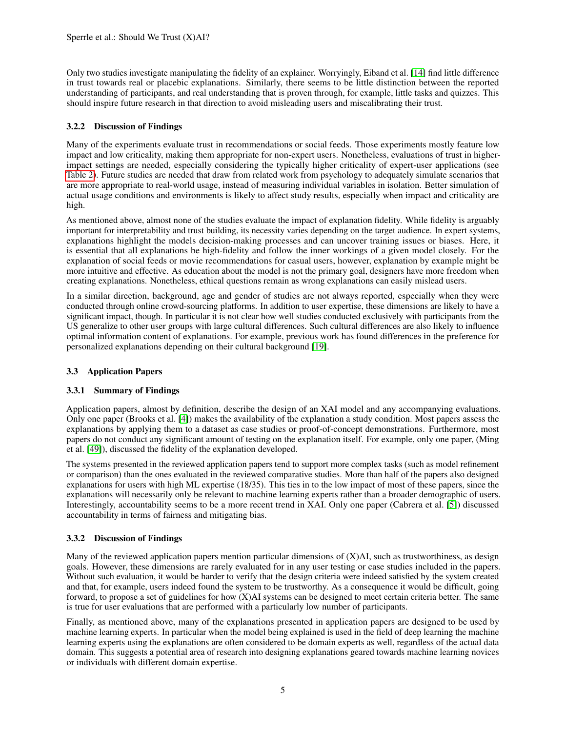Only two studies investigate manipulating the fidelity of an explainer. Worryingly, Eiband et al. [\[14\]](#page-13-4) find little difference in trust towards real or placebic explanations. Similarly, there seems to be little distinction between the reported understanding of participants, and real understanding that is proven through, for example, little tasks and quizzes. This should inspire future research in that direction to avoid misleading users and miscalibrating their trust.

## 3.2.2 Discussion of Findings

Many of the experiments evaluate trust in recommendations or social feeds. Those experiments mostly feature low impact and low criticality, making them appropriate for non-expert users. Nonetheless, evaluations of trust in higherimpact settings are needed, especially considering the typically higher criticality of expert-user applications (see [Table 2\)](#page-5-0). Future studies are needed that draw from related work from psychology to adequately simulate scenarios that are more appropriate to real-world usage, instead of measuring individual variables in isolation. Better simulation of actual usage conditions and environments is likely to affect study results, especially when impact and criticality are high.

As mentioned above, almost none of the studies evaluate the impact of explanation fidelity. While fidelity is arguably important for interpretability and trust building, its necessity varies depending on the target audience. In expert systems, explanations highlight the models decision-making processes and can uncover training issues or biases. Here, it is essential that all explanations be high-fidelity and follow the inner workings of a given model closely. For the explanation of social feeds or movie recommendations for casual users, however, explanation by example might be more intuitive and effective. As education about the model is not the primary goal, designers have more freedom when creating explanations. Nonetheless, ethical questions remain as wrong explanations can easily mislead users.

In a similar direction, background, age and gender of studies are not always reported, especially when they were conducted through online crowd-sourcing platforms. In addition to user expertise, these dimensions are likely to have a significant impact, though. In particular it is not clear how well studies conducted exclusively with participants from the US generalize to other user groups with large cultural differences. Such cultural differences are also likely to influence optimal information content of explanations. For example, previous work has found differences in the preference for personalized explanations depending on their cultural background [\[19\]](#page-13-5).

#### 3.3 Application Papers

#### 3.3.1 Summary of Findings

Application papers, almost by definition, describe the design of an XAI model and any accompanying evaluations. Only one paper (Brooks et al. [\[4\]](#page-12-8)) makes the availability of the explanation a study condition. Most papers assess the explanations by applying them to a dataset as case studies or proof-of-concept demonstrations. Furthermore, most papers do not conduct any significant amount of testing on the explanation itself. For example, only one paper, (Ming et al. [\[49\]](#page-15-7)), discussed the fidelity of the explanation developed.

The systems presented in the reviewed application papers tend to support more complex tasks (such as model refinement or comparison) than the ones evaluated in the reviewed comparative studies. More than half of the papers also designed explanations for users with high ML expertise (18/35). This ties in to the low impact of most of these papers, since the explanations will necessarily only be relevant to machine learning experts rather than a broader demographic of users. Interestingly, accountability seems to be a more recent trend in XAI. Only one paper (Cabrera et al. [\[5\]](#page-12-9)) discussed accountability in terms of fairness and mitigating bias.

#### 3.3.2 Discussion of Findings

Many of the reviewed application papers mention particular dimensions of  $(X)$ AI, such as trustworthiness, as design goals. However, these dimensions are rarely evaluated for in any user testing or case studies included in the papers. Without such evaluation, it would be harder to verify that the design criteria were indeed satisfied by the system created and that, for example, users indeed found the system to be trustworthy. As a consequence it would be difficult, going forward, to propose a set of guidelines for how (X)AI systems can be designed to meet certain criteria better. The same is true for user evaluations that are performed with a particularly low number of participants.

Finally, as mentioned above, many of the explanations presented in application papers are designed to be used by machine learning experts. In particular when the model being explained is used in the field of deep learning the machine learning experts using the explanations are often considered to be domain experts as well, regardless of the actual data domain. This suggests a potential area of research into designing explanations geared towards machine learning novices or individuals with different domain expertise.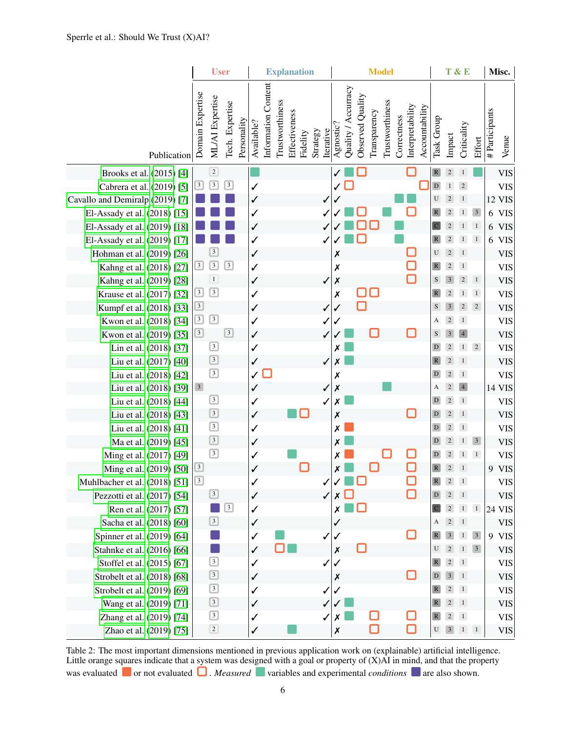|                                 |                         | <b>User</b>             |                 |             | <b>Explanation</b> |                            |                 |               |          |          | <b>Model</b> |                    |                     |                  |              |                 |             |                  |                | T&E          | Misc.          |                   |                         |                |               |
|---------------------------------|-------------------------|-------------------------|-----------------|-------------|--------------------|----------------------------|-----------------|---------------|----------|----------|--------------|--------------------|---------------------|------------------|--------------|-----------------|-------------|------------------|----------------|--------------|----------------|-------------------|-------------------------|----------------|---------------|
| Publication                     | Domain Expertise        | ML/AI Expertise         | Tech. Expertise | Personality | Available?         | <b>Information Content</b> | Trustworthiness | Effectiveness | Fidelity | Strategy | Iterative    | Agnostic?          | Quality / Accurracy | Observed Quality | Transparency | Trustworthiness | Correctness | Interpretability | Accountability | Task Group   | Impact         | Criticality       | Effort                  | # Participants | Venue         |
| Brooks et al. (2015) [4]        |                         | $\sqrt{2}$              |                 |             |                    |                            |                 |               |          |          |              |                    |                     |                  |              |                 |             |                  |                | $\mathbb{R}$ | $\overline{2}$ |                   |                         |                | <b>VIS</b>    |
| Cabrera et al. (2019) [5]       | $\boxed{3}$             | $\boxed{3}$             | $\overline{3}$  |             | $\checkmark$       |                            |                 |               |          |          |              |                    |                     |                  |              |                 |             |                  |                | $\mathbf D$  |                | $\sqrt{2}$        |                         |                | <b>VIS</b>    |
| Cavallo and Demiralp (2019) [7] |                         |                         |                 |             | $\checkmark$       |                            |                 |               |          |          | ✓            |                    |                     |                  |              |                 |             |                  |                | U            |                | -1                |                         |                | <b>12 VIS</b> |
| El-Assady et al. (2018) [15]    |                         |                         |                 |             | $\checkmark$       |                            |                 |               |          |          |              |                    |                     |                  |              |                 |             |                  |                | $\mathbb{R}$ |                |                   | $\overline{\mathbf{3}}$ |                | 6 VIS         |
| El-Assady et al. (2019) [18]    |                         |                         |                 |             | $\checkmark$       |                            |                 |               |          |          |              |                    |                     |                  |              |                 |             |                  |                |              |                |                   | $\mathbf{1}$            |                | 6 VIS         |
| El-Assady et al. (2019) [17]    |                         |                         |                 |             | $\checkmark$       |                            |                 |               |          |          |              |                    |                     |                  |              |                 |             |                  |                | $\mathbb{R}$ | $\sqrt{2}$     | 1                 | $\mathbf{1}$            |                | 6 VIS         |
| Hohman et al. (2019) [26]       |                         | $\overline{\mathbf{3}}$ |                 |             | $\checkmark$       |                            |                 |               |          |          |              | Х                  |                     |                  |              |                 |             |                  |                | U            | $\overline{c}$ | $\overline{1}$    |                         |                | <b>VIS</b>    |
| Kahng et al. (2018) [27]        | $\boxed{3}$             | $\boxed{3}$             | $\overline{3}$  |             | $\checkmark$       |                            |                 |               |          |          |              | X                  |                     |                  |              |                 |             |                  |                | $\mathbb R$  | $\overline{2}$ | $\mathbf{1}$      |                         |                | <b>VIS</b>    |
| Kahng et al. (2019) [28]        |                         | $\mathbf 1$             |                 |             | $\checkmark$       |                            |                 |               |          |          | ✓            | $\pmb{\mathsf{x}}$ |                     |                  |              |                 |             |                  |                | S            |                | $\overline{2}$    | $\mathbf{1}$            |                | <b>VIS</b>    |
| Krause et al. (2017) [32]       | $\boxed{3}$             | $\boxed{3}$             |                 |             | $\checkmark$       |                            |                 |               |          |          |              | X                  |                     |                  |              |                 |             |                  |                |              |                |                   | $\mathbf{1}$            |                | <b>VIS</b>    |
| Kumpf et al. (2018) [33]        | $\boxed{3}$             |                         |                 |             | $\checkmark$       |                            |                 |               |          |          | $\checkmark$ | $\checkmark$       |                     |                  |              |                 |             |                  |                | ${\bf S}$    | 3              | $\overline{2}$    | $\overline{2}$          |                | <b>VIS</b>    |
| Kwon et al. (2018) [34]         | $\overline{\mathbf{3}}$ | $\boxed{3}$             |                 |             | $\checkmark$       |                            |                 |               |          |          | √            | ✓                  |                     |                  |              |                 |             |                  |                | A            | $\overline{c}$ | $\mathbf{1}$      |                         |                | <b>VIS</b>    |
| Kwon et al. (2019) [35]         | $\boxed{3}$             |                         | $\overline{3}$  |             | $\checkmark$       |                            |                 |               |          |          |              |                    |                     |                  |              |                 |             |                  |                | S            | 3              | $\overline{4}$    |                         |                | <b>VIS</b>    |
| Lin et al. (2018) [37]          |                         | $\boxed{3}$             |                 |             | $\checkmark$       |                            |                 |               |          |          |              | Х                  |                     |                  |              |                 |             |                  |                | D            | $\overline{2}$ | $\mathbf{1}$      | $\overline{2}$          |                | <b>VIS</b>    |
| Liu et al. (2017) [40]          |                         | $\boxed{3}$             |                 |             | $\checkmark$       |                            |                 |               |          |          | ✓            | Х                  |                     |                  |              |                 |             |                  |                | ${\bf R}$    | $\overline{2}$ | 1                 |                         |                | <b>VIS</b>    |
| Liu et al. (2018) [42]          |                         | $\boxed{3}$             |                 |             | $\checkmark$       |                            |                 |               |          |          |              | X                  |                     |                  |              |                 |             |                  |                | $\mathbf D$  | $\overline{c}$ | $1\,$             |                         |                | <b>VIS</b>    |
| Liu et al. (2018) [39]          | $\mathbf{3}$            |                         |                 |             | ✓                  |                            |                 |               |          |          | $\checkmark$ | $\pmb{\mathsf{x}}$ |                     |                  |              |                 |             |                  |                | A            | $\overline{2}$ | $\overline{4}$    |                         |                | 14 VIS        |
| Liu et al. (2018) [44]          |                         | $\boxed{3}$             |                 |             | $\checkmark$       |                            |                 |               |          |          |              | Х                  |                     |                  |              |                 |             |                  |                | $\mathbf D$  | $\overline{2}$ | $\overline{1}$    |                         |                | <b>VIS</b>    |
| Liu et al. (2018) [43]          |                         | $\boxed{3}$             |                 |             | ✓                  |                            |                 |               |          |          |              | Х                  |                     |                  |              |                 |             |                  |                | D            | $\overline{2}$ | <sup>1</sup>      |                         |                | <b>VIS</b>    |
| Liu et al. (2018) [41]          |                         | $\boxed{3}$             |                 |             | $\checkmark$       |                            |                 |               |          |          |              | Х                  |                     |                  |              |                 |             |                  |                | $\mathbf D$  | $\overline{2}$ | $\mathbf{1}$      |                         |                | <b>VIS</b>    |
| Ma et al. (2019) [45]           |                         | $\boxed{3}$             |                 |             | $\checkmark$       |                            |                 |               |          |          |              | Х                  |                     |                  |              |                 |             |                  |                | D            | $\overline{2}$ | $\mathbf{1}$      | $\overline{\mathbf{3}}$ |                | <b>VIS</b>    |
| Ming et al. (2017) [49]         |                         | $\boxed{3}$             |                 |             | $\checkmark$       |                            |                 |               |          |          |              | Х                  |                     |                  |              |                 |             |                  |                | D            |                | $\mathbf{1}$      | $\mathbf{1}$            |                | <b>VIS</b>    |
| Ming et al. (2019) [50]         | $\boxed{3}$             |                         |                 |             | $\checkmark$       |                            |                 |               |          |          |              | Х                  |                     |                  |              |                 |             |                  |                | $\mathbb R$  | $\overline{2}$ | $\overline{1}$    |                         |                | 9 VIS         |
| Muhlbacher et al. (2018) [51]   | $\boxed{3}$             |                         |                 |             | ✓                  |                            |                 |               |          |          | ✓            | $\checkmark$       |                     |                  |              |                 |             |                  |                | $\mathbb{R}$ | $\overline{2}$ | $\vert$ 1         |                         |                | VIS           |
| Pezzotti et al. (2017) [54]     |                         | $\boxed{3}$             |                 |             | $\checkmark$       |                            |                 |               |          |          | $\sqrt{}$    |                    | $x \Box$            |                  |              |                 |             |                  |                | $\mathbf{D}$ | $2 \mid 1$     |                   |                         |                | <b>VIS</b>    |
| Ren et al. (2017) [57]          |                         |                         | $\boxed{3}$     |             | $\checkmark$       |                            |                 |               |          |          |              | X                  |                     |                  |              |                 |             |                  |                |              | 2              | $\mathbf{1}$      | $1\,$                   |                | 24 VIS        |
| Sacha et al. (2018) [60]        |                         | $\boxed{3}$             |                 |             | $\checkmark$       |                            |                 |               |          |          |              | ✓                  |                     |                  |              |                 |             |                  |                | A            | $2 \mid 1$     |                   |                         |                | <b>VIS</b>    |
| Spinner et al. (2019) [64]      |                         |                         |                 |             | $\checkmark$       |                            |                 |               |          |          | $\checkmark$ | ✓                  |                     |                  |              |                 |             |                  |                | $\mathbb{R}$ | 3 <sup>1</sup> | $1 \vert 3 \vert$ |                         |                | 9 VIS         |
| Stahnke et al. (2016) [66]      |                         |                         |                 |             | $\checkmark$       |                            |                 |               |          |          |              | $\pmb{\mathsf{x}}$ |                     |                  |              |                 |             |                  |                | U            | $\overline{2}$ | $1 \mid 3$        |                         |                | <b>VIS</b>    |
| Stoffel et al. (2015) [67]      |                         | $\boxed{3}$             |                 |             | ✓                  |                            |                 |               |          |          | ✓            | ✓                  |                     |                  |              |                 |             |                  |                | $\mathbb{R}$ | $\overline{2}$ | $\,$ 1 $\,$       |                         |                | <b>VIS</b>    |
| Strobelt et al. (2018) [68]     |                         | $\boxed{3}$             |                 |             | ✓                  |                            |                 |               |          |          |              | Х                  |                     |                  |              |                 |             |                  |                | $\mathbf D$  | 3 <sup>1</sup> | $\overline{1}$    |                         |                | <b>VIS</b>    |
| Strobelt et al. (2019) [69]     |                         | $\boxed{3}$             |                 |             | $\checkmark$       |                            |                 |               |          |          | $\checkmark$ | ✓                  |                     |                  |              |                 |             |                  |                | $\mathbb{R}$ | $\overline{2}$ | $\vert$ 1         |                         |                | <b>VIS</b>    |
| Wang et al. (2019) [71]         |                         | $\boxed{3}$             |                 |             | ✓                  |                            |                 |               |          |          | ✓            |                    |                     |                  |              |                 |             |                  |                | $\mathbb{R}$ | $2 \mid 1$     |                   |                         |                | <b>VIS</b>    |
| Zhang et al. (2019) [74]        |                         | $\boxed{3}$             |                 |             | ✓                  |                            |                 |               |          |          | ✓            | х                  |                     |                  |              |                 |             |                  |                | $\mathbb{R}$ | $\overline{2}$ | $\overline{1}$    |                         |                | <b>VIS</b>    |
| Zhao et al. (2019) [75]         |                         | $\boxed{2}$             |                 |             | $\checkmark$       |                            |                 |               |          |          |              | $\pmb{\mathsf{x}}$ |                     |                  |              |                 |             |                  |                | U            | 3 <sup>1</sup> | $1 \quad 1$       |                         |                | <b>VIS</b>    |

<span id="page-5-0"></span>Table 2: The most important dimensions mentioned in previous application work on (explainable) artificial intelligence. Little orange squares indicate that a system was designed with a goal or property of (X)AI in mind, and that the property was evaluated or not evaluated **D**. *Measured* variables and experimental *conditions* are also shown.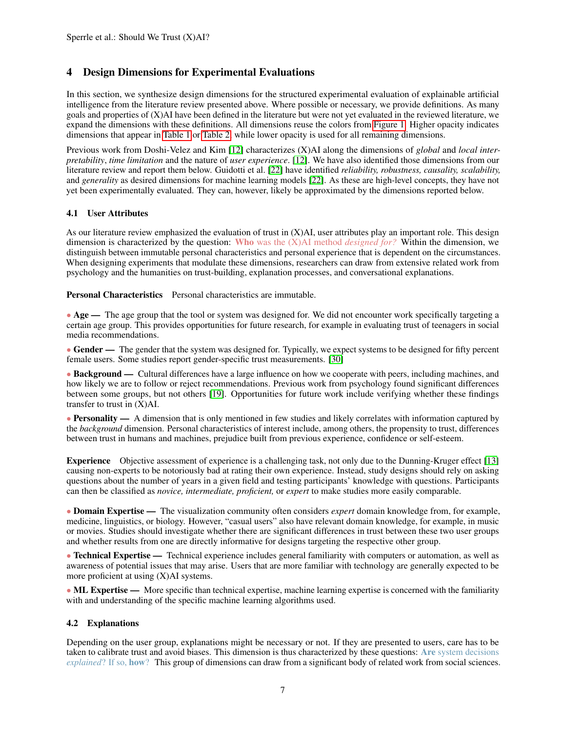# <span id="page-6-0"></span>4 Design Dimensions for Experimental Evaluations

In this section, we synthesize design dimensions for the structured experimental evaluation of explainable artificial intelligence from the literature review presented above. Where possible or necessary, we provide definitions. As many goals and properties of (X)AI have been defined in the literature but were not yet evaluated in the reviewed literature, we expand the dimensions with these definitions. All dimensions reuse the colors from [Figure 1.](#page-0-0) Higher opacity indicates dimensions that appear in [Table 1](#page-2-0) or [Table 2,](#page-5-0) while lower opacity is used for all remaining dimensions.

Previous work from Doshi-Velez and Kim [\[12\]](#page-13-0) characterizes (X)AI along the dimensions of *global* and *local interpretability*, *time limitation* and the nature of *user experience*. [\[12\]](#page-13-0). We have also identified those dimensions from our literature review and report them below. Guidotti et al. [\[22\]](#page-13-1) have identified *reliability, robustness, causality, scalability,* and *generality* as desired dimensions for machine learning models [\[22\]](#page-13-1). As these are high-level concepts, they have not yet been experimentally evaluated. They can, however, likely be approximated by the dimensions reported below.

#### <span id="page-6-2"></span>4.1 User Attributes

As our literature review emphasized the evaluation of trust in (X)AI, user attributes play an important role. This design dimension is characterized by the question: Who was the (X)AI method *designed for?* Within the dimension, we distinguish between immutable personal characteristics and personal experience that is dependent on the circumstances. When designing experiments that modulate these dimensions, researchers can draw from extensive related work from psychology and the humanities on trust-building, explanation processes, and conversational explanations.

Personal Characteristics Personal characteristics are immutable.

• Age — The age group that the tool or system was designed for. We did not encounter work specifically targeting a certain age group. This provides opportunities for future research, for example in evaluating trust of teenagers in social media recommendations.

• Gender — The gender that the system was designed for. Typically, we expect systems to be designed for fifty percent female users. Some studies report gender-specific trust measurements. [\[30\]](#page-14-1)

• Background — Cultural differences have a large influence on how we cooperate with peers, including machines, and how likely we are to follow or reject recommendations. Previous work from psychology found significant differences between some groups, but not others [\[19\]](#page-13-5). Opportunities for future work include verifying whether these findings transfer to trust in (X)AI.

• Personality — A dimension that is only mentioned in few studies and likely correlates with information captured by the *background* dimension. Personal characteristics of interest include, among others, the propensity to trust, differences between trust in humans and machines, prejudice built from previous experience, confidence or self-esteem.

Experience Objective assessment of experience is a challenging task, not only due to the Dunning-Kruger effect [\[13\]](#page-13-11) causing non-experts to be notoriously bad at rating their own experience. Instead, study designs should rely on asking questions about the number of years in a given field and testing participants' knowledge with questions. Participants can then be classified as *novice, intermediate, proficient,* or *expert* to make studies more easily comparable.

• Domain Expertise — The visualization community often considers *expert* domain knowledge from, for example, medicine, linguistics, or biology. However, "casual users" also have relevant domain knowledge, for example, in music or movies. Studies should investigate whether there are significant differences in trust between these two user groups and whether results from one are directly informative for designs targeting the respective other group.

• Technical Expertise — Technical experience includes general familiarity with computers or automation, as well as awareness of potential issues that may arise. Users that are more familiar with technology are generally expected to be more proficient at using (X)AI systems.

• ML Expertise — More specific than technical expertise, machine learning expertise is concerned with the familiarity with and understanding of the specific machine learning algorithms used.

#### <span id="page-6-1"></span>4.2 Explanations

Depending on the user group, explanations might be necessary or not. If they are presented to users, care has to be taken to calibrate trust and avoid biases. This dimension is thus characterized by these questions: Are system decisions *explained*? If so, how? This group of dimensions can draw from a significant body of related work from social sciences.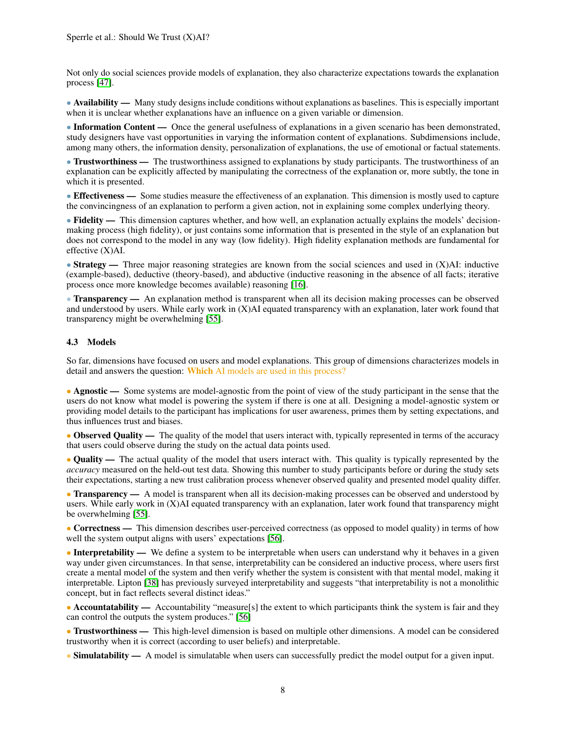Not only do social sciences provide models of explanation, they also characterize expectations towards the explanation process [\[47\]](#page-15-15).

• Availability — Many study designs include conditions without explanations as baselines. This is especially important when it is unclear whether explanations have an influence on a given variable or dimension.

• Information Content — Once the general usefulness of explanations in a given scenario has been demonstrated, study designers have vast opportunities in varying the information content of explanations. Subdimensions include, among many others, the information density, personalization of explanations, the use of emotional or factual statements.

• Trustworthiness — The trustworthiness assigned to explanations by study participants. The trustworthiness of an explanation can be explicitly affected by manipulating the correctness of the explanation or, more subtly, the tone in which it is presented.

• Effectiveness — Some studies measure the effectiveness of an explanation. This dimension is mostly used to capture the convincingness of an explanation to perform a given action, not in explaining some complex underlying theory.

• Fidelity — This dimension captures whether, and how well, an explanation actually explains the models' decisionmaking process (high fidelity), or just contains some information that is presented in the style of an explanation but does not correspond to the model in any way (low fidelity). High fidelity explanation methods are fundamental for effective (X)AI.

• Strategy — Three major reasoning strategies are known from the social sciences and used in (X)AI: inductive (example-based), deductive (theory-based), and abductive (inductive reasoning in the absence of all facts; iterative process once more knowledge becomes available) reasoning [\[16\]](#page-13-12).

• Transparency — An explanation method is transparent when all its decision making processes can be observed and understood by users. While early work in (X)AI equated transparency with an explanation, later work found that transparency might be overwhelming [\[55\]](#page-15-1).

#### <span id="page-7-0"></span>4.3 Models

So far, dimensions have focused on users and model explanations. This group of dimensions characterizes models in detail and answers the question: Which AI models are used in this process?

• Agnostic — Some systems are model-agnostic from the point of view of the study participant in the sense that the users do not know what model is powering the system if there is one at all. Designing a model-agnostic system or providing model details to the participant has implications for user awareness, primes them by setting expectations, and thus influences trust and biases.

• Observed Quality — The quality of the model that users interact with, typically represented in terms of the accuracy that users could observe during the study on the actual data points used.

• Quality — The actual quality of the model that users interact with. This quality is typically represented by the *accuracy* measured on the held-out test data. Showing this number to study participants before or during the study sets their expectations, starting a new trust calibration process whenever observed quality and presented model quality differ.

• **Transparency** — A model is transparent when all its decision-making processes can be observed and understood by users. While early work in (X)AI equated transparency with an explanation, later work found that transparency might be overwhelming [\[55\]](#page-15-1).

• Correctness — This dimension describes user-perceived correctness (as opposed to model quality) in terms of how well the system output aligns with users' expectations [\[56\]](#page-15-5).

• Interpretability — We define a system to be interpretable when users can understand why it behaves in a given way under given circumstances. In that sense, interpretability can be considered an inductive process, where users first create a mental model of the system and then verify whether the system is consistent with that mental model, making it interpretable. Lipton [\[38\]](#page-14-13) has previously surveyed interpretability and suggests "that interpretability is not a monolithic concept, but in fact reflects several distinct ideas."

• Accountatability — Accountability "measure[s] the extent to which participants think the system is fair and they can control the outputs the system produces." [\[56\]](#page-15-5)

• Trustworthiness — This high-level dimension is based on multiple other dimensions. A model can be considered trustworthy when it is correct (according to user beliefs) and interpretable.

• Simulatability — A model is simulatable when users can successfully predict the model output for a given input.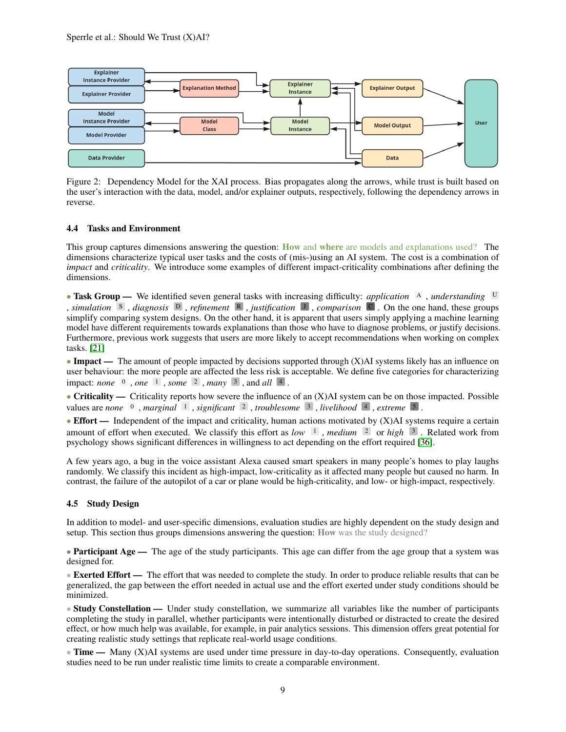

<span id="page-8-1"></span>Figure 2: Dependency Model for the XAI process. Bias propagates along the arrows, while trust is built based on the user's interaction with the data, model, and/or explainer outputs, respectively, following the dependency arrows in reverse.

#### <span id="page-8-0"></span>4.4 Tasks and Environment

This group captures dimensions answering the question: **How** and where are models and explanations used? The dimensions characterize typical user tasks and the costs of (mis-)using an AI system. The cost is a combination of *impact* and *criticality*. We introduce some examples of different impact-criticality combinations after defining the dimensions.

• Task Group — We identified seven general tasks with increasing difficulty: *application* A , *understanding* U , *simulation* <sup>S</sup> , *diagnosis* <sup>D</sup> , *refinement* <sup>R</sup> , *justification* <sup>J</sup> , *comparison* <sup>C</sup> . On the one hand, these groups simplify comparing system designs. On the other hand, it is apparent that users simply applying a machine learning model have different requirements towards explanations than those who have to diagnose problems, or justify decisions. Furthermore, previous work suggests that users are more likely to accept recommendations when working on complex tasks. [\[21\]](#page-13-13)

• Impact — The amount of people impacted by decisions supported through (X)AI systems likely has an influence on user behaviour: the more people are affected the less risk is acceptable. We define five categories for characterizing impact: *none* <sup>0</sup> , *one* <sup>1</sup> , *some* <sup>2</sup> , *many* <sup>3</sup> , and *all* <sup>4</sup> .

• Criticality — Criticality reports how severe the influence of an  $(X)$ AI system can be on those impacted. Possible values are *none* <sup>0</sup> , *marginal* <sup>1</sup> , *significant* <sup>2</sup> , *troublesome* <sup>3</sup> , *livelihood* <sup>4</sup> , *extreme* <sup>5</sup> .

• Effort — Independent of the impact and criticality, human actions motivated by (X)AI systems require a certain amount of effort when executed. We classify this effort as *low* <sup>1</sup> , *medium* <sup>2</sup> or *high* <sup>3</sup> . Related work from psychology shows significant differences in willingness to act depending on the effort required [\[36\]](#page-14-14).

A few years ago, a bug in the voice assistant Alexa caused smart speakers in many people's homes to play laughs randomly. We classify this incident as high-impact, low-criticality as it affected many people but caused no harm. In contrast, the failure of the autopilot of a car or plane would be high-criticality, and low- or high-impact, respectively.

#### 4.5 Study Design

In addition to model- and user-specific dimensions, evaluation studies are highly dependent on the study design and setup. This section thus groups dimensions answering the question: How was the study designed?

• Participant  $Age -$  The age of the study participants. This age can differ from the age group that a system was designed for.

• Exerted Effort — The effort that was needed to complete the study. In order to produce reliable results that can be generalized, the gap between the effort needed in actual use and the effort exerted under study conditions should be minimized.

• Study Constellation — Under study constellation, we summarize all variables like the number of participants completing the study in parallel, whether participants were intentionally disturbed or distracted to create the desired effect, or how much help was available, for example, in pair analytics sessions. This dimension offers great potential for creating realistic study settings that replicate real-world usage conditions.

 $\bullet$  Time — Many (X)AI systems are used under time pressure in day-to-day operations. Consequently, evaluation studies need to be run under realistic time limits to create a comparable environment.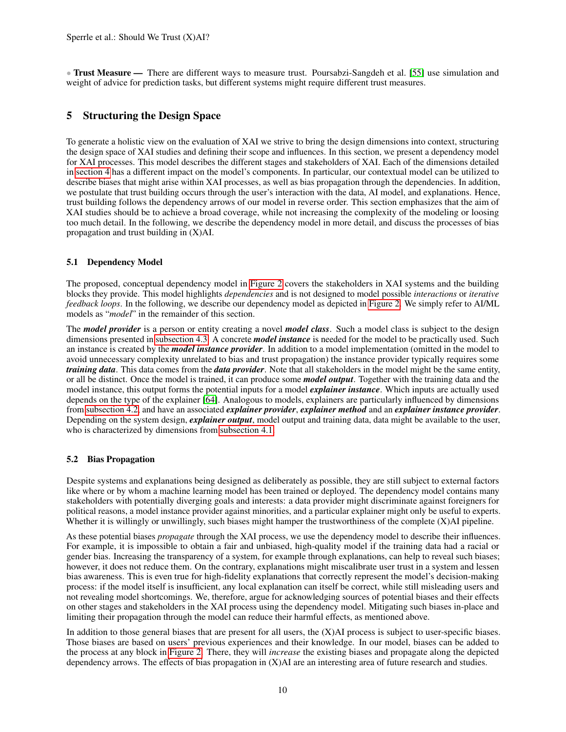• Trust Measure — There are different ways to measure trust. Poursabzi-Sangdeh et al. [\[55\]](#page-15-1) use simulation and weight of advice for prediction tasks, but different systems might require different trust measures.

# <span id="page-9-0"></span>5 Structuring the Design Space

To generate a holistic view on the evaluation of XAI we strive to bring the design dimensions into context, structuring the design space of XAI studies and defining their scope and influences. In this section, we present a dependency model for XAI processes. This model describes the different stages and stakeholders of XAI. Each of the dimensions detailed in [section 4](#page-6-0) has a different impact on the model's components. In particular, our contextual model can be utilized to describe biases that might arise within XAI processes, as well as bias propagation through the dependencies. In addition, we postulate that trust building occurs through the user's interaction with the data, AI model, and explanations. Hence, trust building follows the dependency arrows of our model in reverse order. This section emphasizes that the aim of XAI studies should be to achieve a broad coverage, while not increasing the complexity of the modeling or loosing too much detail. In the following, we describe the dependency model in more detail, and discuss the processes of bias propagation and trust building in (X)AI.

#### 5.1 Dependency Model

The proposed, conceptual dependency model in [Figure 2](#page-8-1) covers the stakeholders in XAI systems and the building blocks they provide. This model highlights *dependencies* and is not designed to model possible *interactions* or *iterative feedback loops*. In the following, we describe our dependency model as depicted in [Figure 2.](#page-8-1) We simply refer to AI/ML models as "*model*" in the remainder of this section.

The *model provider* is a person or entity creating a novel *model class*. Such a model class is subject to the design dimensions presented in [subsection 4.3.](#page-7-0) A concrete *model instance* is needed for the model to be practically used. Such an instance is created by the *model instance provider*. In addition to a model implementation (omitted in the model to avoid unnecessary complexity unrelated to bias and trust propagation) the instance provider typically requires some *training data*. This data comes from the *data provider*. Note that all stakeholders in the model might be the same entity, or all be distinct. Once the model is trained, it can produce some *model output*. Together with the training data and the model instance, this output forms the potential inputs for a model *explainer instance*. Which inputs are actually used depends on the type of the explainer [\[64\]](#page-16-0). Analogous to models, explainers are particularly influenced by dimensions from [subsection 4.2,](#page-6-1) and have an associated *explainer provider*, *explainer method* and an *explainer instance provider*. Depending on the system design, *explainer output*, model output and training data, data might be available to the user, who is characterized by dimensions from [subsection 4.1.](#page-6-2)

#### 5.2 Bias Propagation

Despite systems and explanations being designed as deliberately as possible, they are still subject to external factors like where or by whom a machine learning model has been trained or deployed. The dependency model contains many stakeholders with potentially diverging goals and interests: a data provider might discriminate against foreigners for political reasons, a model instance provider against minorities, and a particular explainer might only be useful to experts. Whether it is willingly or unwillingly, such biases might hamper the trustworthiness of the complete (X)AI pipeline.

As these potential biases *propagate* through the XAI process, we use the dependency model to describe their influences. For example, it is impossible to obtain a fair and unbiased, high-quality model if the training data had a racial or gender bias. Increasing the transparency of a system, for example through explanations, can help to reveal such biases; however, it does not reduce them. On the contrary, explanations might miscalibrate user trust in a system and lessen bias awareness. This is even true for high-fidelity explanations that correctly represent the model's decision-making process: if the model itself is insufficient, any local explanation can itself be correct, while still misleading users and not revealing model shortcomings. We, therefore, argue for acknowledging sources of potential biases and their effects on other stages and stakeholders in the XAI process using the dependency model. Mitigating such biases in-place and limiting their propagation through the model can reduce their harmful effects, as mentioned above.

In addition to those general biases that are present for all users, the  $(X)$ AI process is subject to user-specific biases. Those biases are based on users' previous experiences and their knowledge. In our model, biases can be added to the process at any block in [Figure 2.](#page-8-1) There, they will *increase* the existing biases and propagate along the depicted dependency arrows. The effects of bias propagation in (X)AI are an interesting area of future research and studies.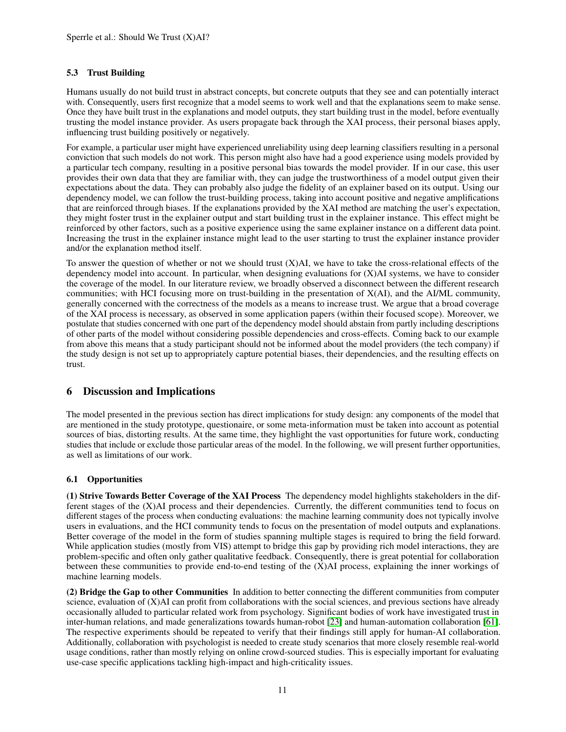#### 5.3 Trust Building

Humans usually do not build trust in abstract concepts, but concrete outputs that they see and can potentially interact with. Consequently, users first recognize that a model seems to work well and that the explanations seem to make sense. Once they have built trust in the explanations and model outputs, they start building trust in the model, before eventually trusting the model instance provider. As users propagate back through the XAI process, their personal biases apply, influencing trust building positively or negatively.

For example, a particular user might have experienced unreliability using deep learning classifiers resulting in a personal conviction that such models do not work. This person might also have had a good experience using models provided by a particular tech company, resulting in a positive personal bias towards the model provider. If in our case, this user provides their own data that they are familiar with, they can judge the trustworthiness of a model output given their expectations about the data. They can probably also judge the fidelity of an explainer based on its output. Using our dependency model, we can follow the trust-building process, taking into account positive and negative amplifications that are reinforced through biases. If the explanations provided by the XAI method are matching the user's expectation, they might foster trust in the explainer output and start building trust in the explainer instance. This effect might be reinforced by other factors, such as a positive experience using the same explainer instance on a different data point. Increasing the trust in the explainer instance might lead to the user starting to trust the explainer instance provider and/or the explanation method itself.

To answer the question of whether or not we should trust  $(X)$ AI, we have to take the cross-relational effects of the dependency model into account. In particular, when designing evaluations for (X)AI systems, we have to consider the coverage of the model. In our literature review, we broadly observed a disconnect between the different research communities; with HCI focusing more on trust-building in the presentation of X(AI), and the AI/ML community, generally concerned with the correctness of the models as a means to increase trust. We argue that a broad coverage of the XAI process is necessary, as observed in some application papers (within their focused scope). Moreover, we postulate that studies concerned with one part of the dependency model should abstain from partly including descriptions of other parts of the model without considering possible dependencies and cross-effects. Coming back to our example from above this means that a study participant should not be informed about the model providers (the tech company) if the study design is not set up to appropriately capture potential biases, their dependencies, and the resulting effects on trust.

# <span id="page-10-0"></span>6 Discussion and Implications

The model presented in the previous section has direct implications for study design: any components of the model that are mentioned in the study prototype, questionaire, or some meta-information must be taken into account as potential sources of bias, distorting results. At the same time, they highlight the vast opportunities for future work, conducting studies that include or exclude those particular areas of the model. In the following, we will present further opportunities, as well as limitations of our work.

#### 6.1 Opportunities

(1) Strive Towards Better Coverage of the XAI Process The dependency model highlights stakeholders in the different stages of the (X)AI process and their dependencies. Currently, the different communities tend to focus on different stages of the process when conducting evaluations: the machine learning community does not typically involve users in evaluations, and the HCI community tends to focus on the presentation of model outputs and explanations. Better coverage of the model in the form of studies spanning multiple stages is required to bring the field forward. While application studies (mostly from VIS) attempt to bridge this gap by providing rich model interactions, they are problem-specific and often only gather qualitative feedback. Consequently, there is great potential for collaboration between these communities to provide end-to-end testing of the (X)AI process, explaining the inner workings of machine learning models.

(2) Bridge the Gap to other Communities In addition to better connecting the different communities from computer science, evaluation of (X)AI can profit from collaborations with the social sciences, and previous sections have already occasionally alluded to particular related work from psychology. Significant bodies of work have investigated trust in inter-human relations, and made generalizations towards human-robot [\[23\]](#page-13-2) and human-automation collaboration [\[61\]](#page-16-2). The respective experiments should be repeated to verify that their findings still apply for human-AI collaboration. Additionally, collaboration with psychologist is needed to create study scenarios that more closely resemble real-world usage conditions, rather than mostly relying on online crowd-sourced studies. This is especially important for evaluating use-case specific applications tackling high-impact and high-criticality issues.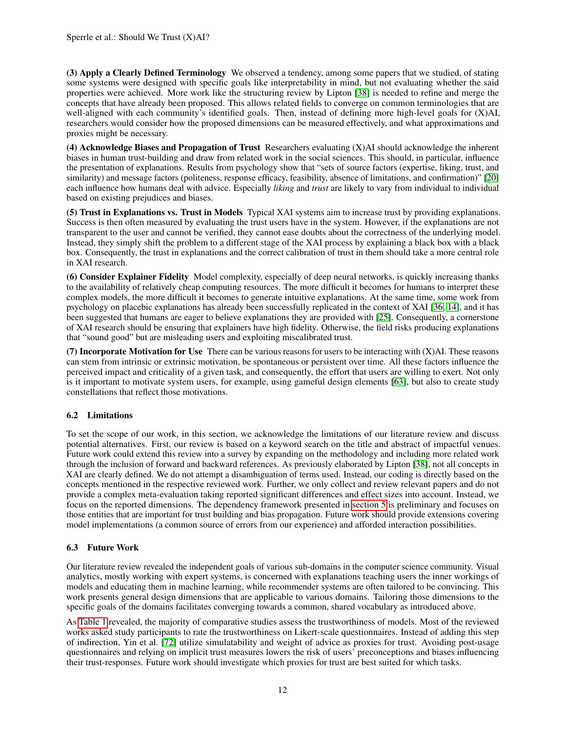(3) Apply a Clearly Defined Terminology We observed a tendency, among some papers that we studied, of stating some systems were designed with specific goals like interpretability in mind, but not evaluating whether the said properties were achieved. More work like the structuring review by Lipton [\[38\]](#page-14-13) is needed to refine and merge the concepts that have already been proposed. This allows related fields to converge on common terminologies that are well-aligned with each community's identified goals. Then, instead of defining more high-level goals for (X)AI, researchers would consider how the proposed dimensions can be measured effectively, and what approximations and proxies might be necessary.

(4) Acknowledge Biases and Propagation of Trust Researchers evaluating (X)AI should acknowledge the inherent biases in human trust-building and draw from related work in the social sciences. This should, in particular, influence the presentation of explanations. Results from psychology show that "sets of source factors (expertise, liking, trust, and similarity) and message factors (politeness, response efficacy, feasibility, absence of limitations, and confirmation)" [\[20\]](#page-13-14) each influence how humans deal with advice. Especially *liking* and *trust* are likely to vary from individual to individual based on existing prejudices and biases.

(5) Trust in Explanations vs. Trust in Models Typical XAI systems aim to increase trust by providing explanations. Success is then often measured by evaluating the trust users have in the system. However, if the explanations are not transparent to the user and cannot be verified, they cannot ease doubts about the correctness of the underlying model. Instead, they simply shift the problem to a different stage of the XAI process by explaining a black box with a black box. Consequently, the trust in explanations and the correct calibration of trust in them should take a more central role in XAI research.

(6) Consider Explainer Fidelity Model complexity, especially of deep neural networks, is quickly increasing thanks to the availability of relatively cheap computing resources. The more difficult it becomes for humans to interpret these complex models, the more difficult it becomes to generate intuitive explanations. At the same time, some work from psychology on placebic explanations has already been successfully replicated in the context of XAI [\[36,](#page-14-14) [14\]](#page-13-4), and it has been suggested that humans are eager to believe explanations they are provided with [\[25\]](#page-13-15). Consequently, a cornerstone of XAI research should be ensuring that explainers have high fidelity. Otherwise, the field risks producing explanations that "sound good" but are misleading users and exploiting miscalibrated trust.

(7) Incorporate Motivation for Use There can be various reasons for users to be interacting with  $(X)$ AI. These reasons can stem from intrinsic or extrinsic motivation, be spontaneous or persistent over time. All these factors influence the perceived impact and criticality of a given task, and consequently, the effort that users are willing to exert. Not only is it important to motivate system users, for example, using gameful design elements [\[63\]](#page-16-14), but also to create study constellations that reflect those motivations.

# 6.2 Limitations

To set the scope of our work, in this section, we acknowledge the limitations of our literature review and discuss potential alternatives. First, our review is based on a keyword search on the title and abstract of impactful venues. Future work could extend this review into a survey by expanding on the methodology and including more related work through the inclusion of forward and backward references. As previously elaborated by Lipton [\[38\]](#page-14-13), not all concepts in XAI are clearly defined. We do not attempt a disambiguation of terms used. Instead, our coding is directly based on the concepts mentioned in the respective reviewed work. Further, we only collect and review relevant papers and do not provide a complex meta-evaluation taking reported significant differences and effect sizes into account. Instead, we focus on the reported dimensions. The dependency framework presented in [section 5](#page-9-0) is preliminary and focuses on those entities that are important for trust building and bias propagation. Future work should provide extensions covering model implementations (a common source of errors from our experience) and afforded interaction possibilities.

#### 6.3 Future Work

Our literature review revealed the independent goals of various sub-domains in the computer science community. Visual analytics, mostly working with expert systems, is concerned with explanations teaching users the inner workings of models and educating them in machine learning, while recommender systems are often tailored to be convincing. This work presents general design dimensions that are applicable to various domains. Tailoring those dimensions to the specific goals of the domains facilitates converging towards a common, shared vocabulary as introduced above.

As [Table 1](#page-2-0) revealed, the majority of comparative studies assess the trustworthiness of models. Most of the reviewed works asked study participants to rate the trustworthiness on Likert-scale questionnaires. Instead of adding this step of indirection, Yin et al. [\[72\]](#page-16-6) utilize simulatability and weight of advice as proxies for trust. Avoiding post-usage questionnaires and relying on implicit trust measures lowers the risk of users' preconceptions and biases influencing their trust-responses. Future work should investigate which proxies for trust are best suited for which tasks.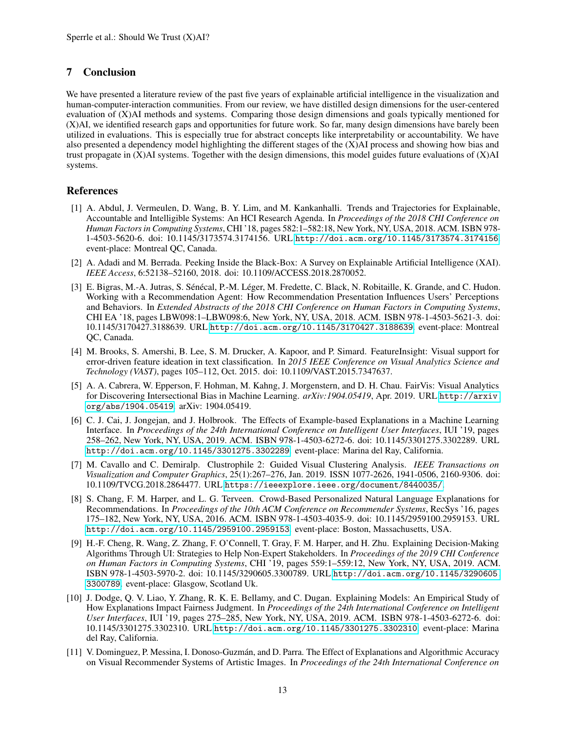# 7 Conclusion

We have presented a literature review of the past five years of explainable artificial intelligence in the visualization and human-computer-interaction communities. From our review, we have distilled design dimensions for the user-centered evaluation of (X)AI methods and systems. Comparing those design dimensions and goals typically mentioned for (X)AI, we identified research gaps and opportunities for future work. So far, many design dimensions have barely been utilized in evaluations. This is especially true for abstract concepts like interpretability or accountability. We have also presented a dependency model highlighting the different stages of the (X)AI process and showing how bias and trust propagate in (X)AI systems. Together with the design dimensions, this model guides future evaluations of (X)AI systems.

# References

- <span id="page-12-1"></span>[1] A. Abdul, J. Vermeulen, D. Wang, B. Y. Lim, and M. Kankanhalli. Trends and Trajectories for Explainable, Accountable and Intelligible Systems: An HCI Research Agenda. In *Proceedings of the 2018 CHI Conference on Human Factors in Computing Systems*, CHI '18, pages 582:1–582:18, New York, NY, USA, 2018. ACM. ISBN 978- 1-4503-5620-6. doi: 10.1145/3173574.3174156. URL <http://doi.acm.org/10.1145/3173574.3174156>. event-place: Montreal QC, Canada.
- <span id="page-12-0"></span>[2] A. Adadi and M. Berrada. Peeking Inside the Black-Box: A Survey on Explainable Artificial Intelligence (XAI). *IEEE Access*, 6:52138–52160, 2018. doi: 10.1109/ACCESS.2018.2870052.
- <span id="page-12-6"></span>[3] E. Bigras, M.-A. Jutras, S. Sénécal, P.-M. Léger, M. Fredette, C. Black, N. Robitaille, K. Grande, and C. Hudon. Working with a Recommendation Agent: How Recommendation Presentation Influences Users' Perceptions and Behaviors. In *Extended Abstracts of the 2018 CHI Conference on Human Factors in Computing Systems*, CHI EA '18, pages LBW098:1–LBW098:6, New York, NY, USA, 2018. ACM. ISBN 978-1-4503-5621-3. doi: 10.1145/3170427.3188639. URL <http://doi.acm.org/10.1145/3170427.3188639>. event-place: Montreal QC, Canada.
- <span id="page-12-8"></span>[4] M. Brooks, S. Amershi, B. Lee, S. M. Drucker, A. Kapoor, and P. Simard. FeatureInsight: Visual support for error-driven feature ideation in text classification. In *2015 IEEE Conference on Visual Analytics Science and Technology (VAST)*, pages 105–112, Oct. 2015. doi: 10.1109/VAST.2015.7347637.
- <span id="page-12-9"></span>[5] A. A. Cabrera, W. Epperson, F. Hohman, M. Kahng, J. Morgenstern, and D. H. Chau. FairVis: Visual Analytics for Discovering Intersectional Bias in Machine Learning. *arXiv:1904.05419*, Apr. 2019. URL [http://arxiv.](http://arxiv.org/abs/1904.05419) [org/abs/1904.05419](http://arxiv.org/abs/1904.05419). arXiv: 1904.05419.
- <span id="page-12-2"></span>[6] C. J. Cai, J. Jongejan, and J. Holbrook. The Effects of Example-based Explanations in a Machine Learning Interface. In *Proceedings of the 24th International Conference on Intelligent User Interfaces*, IUI '19, pages 258–262, New York, NY, USA, 2019. ACM. ISBN 978-1-4503-6272-6. doi: 10.1145/3301275.3302289. URL <http://doi.acm.org/10.1145/3301275.3302289>. event-place: Marina del Ray, California.
- <span id="page-12-10"></span>[7] M. Cavallo and C. Demiralp. Clustrophile 2: Guided Visual Clustering Analysis. *IEEE Transactions on Visualization and Computer Graphics*, 25(1):267–276, Jan. 2019. ISSN 1077-2626, 1941-0506, 2160-9306. doi: 10.1109/TVCG.2018.2864477. URL <https://ieeexplore.ieee.org/document/8440035/>.
- <span id="page-12-7"></span>[8] S. Chang, F. M. Harper, and L. G. Terveen. Crowd-Based Personalized Natural Language Explanations for Recommendations. In *Proceedings of the 10th ACM Conference on Recommender Systems*, RecSys '16, pages 175–182, New York, NY, USA, 2016. ACM. ISBN 978-1-4503-4035-9. doi: 10.1145/2959100.2959153. URL <http://doi.acm.org/10.1145/2959100.2959153>. event-place: Boston, Massachusetts, USA.
- <span id="page-12-3"></span>[9] H.-F. Cheng, R. Wang, Z. Zhang, F. O'Connell, T. Gray, F. M. Harper, and H. Zhu. Explaining Decision-Making Algorithms Through UI: Strategies to Help Non-Expert Stakeholders. In *Proceedings of the 2019 CHI Conference on Human Factors in Computing Systems*, CHI '19, pages 559:1–559:12, New York, NY, USA, 2019. ACM. ISBN 978-1-4503-5970-2. doi: 10.1145/3290605.3300789. URL [http://doi.acm.org/10.1145/3290605.](http://doi.acm.org/10.1145/3290605.3300789) [3300789](http://doi.acm.org/10.1145/3290605.3300789). event-place: Glasgow, Scotland Uk.
- <span id="page-12-4"></span>[10] J. Dodge, Q. V. Liao, Y. Zhang, R. K. E. Bellamy, and C. Dugan. Explaining Models: An Empirical Study of How Explanations Impact Fairness Judgment. In *Proceedings of the 24th International Conference on Intelligent User Interfaces*, IUI '19, pages 275–285, New York, NY, USA, 2019. ACM. ISBN 978-1-4503-6272-6. doi: 10.1145/3301275.3302310. URL <http://doi.acm.org/10.1145/3301275.3302310>. event-place: Marina del Ray, California.
- <span id="page-12-5"></span>[11] V. Dominguez, P. Messina, I. Donoso-Guzmán, and D. Parra. The Effect of Explanations and Algorithmic Accuracy on Visual Recommender Systems of Artistic Images. In *Proceedings of the 24th International Conference on*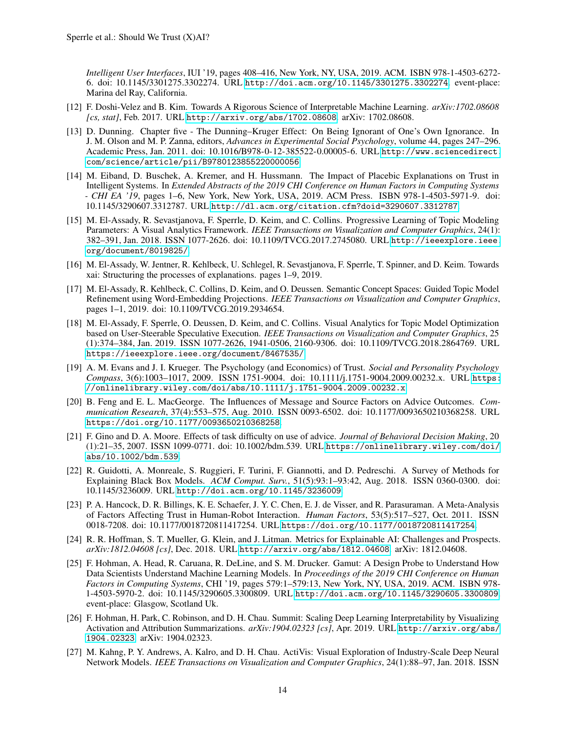*Intelligent User Interfaces*, IUI '19, pages 408–416, New York, NY, USA, 2019. ACM. ISBN 978-1-4503-6272- 6. doi: 10.1145/3301275.3302274. URL <http://doi.acm.org/10.1145/3301275.3302274>. event-place: Marina del Ray, California.

- <span id="page-13-0"></span>[12] F. Doshi-Velez and B. Kim. Towards A Rigorous Science of Interpretable Machine Learning. *arXiv:1702.08608 [cs, stat]*, Feb. 2017. URL <http://arxiv.org/abs/1702.08608>. arXiv: 1702.08608.
- <span id="page-13-11"></span>[13] D. Dunning. Chapter five - The Dunning–Kruger Effect: On Being Ignorant of One's Own Ignorance. In J. M. Olson and M. P. Zanna, editors, *Advances in Experimental Social Psychology*, volume 44, pages 247–296. Academic Press, Jan. 2011. doi: 10.1016/B978-0-12-385522-0.00005-6. URL [http://www.sciencedirect.](http://www.sciencedirect.com/science/article/pii/B9780123855220000056) [com/science/article/pii/B9780123855220000056](http://www.sciencedirect.com/science/article/pii/B9780123855220000056).
- <span id="page-13-4"></span>[14] M. Eiband, D. Buschek, A. Kremer, and H. Hussmann. The Impact of Placebic Explanations on Trust in Intelligent Systems. In *Extended Abstracts of the 2019 CHI Conference on Human Factors in Computing Systems - CHI EA '19*, pages 1–6, New York, New York, USA, 2019. ACM Press. ISBN 978-1-4503-5971-9. doi: 10.1145/3290607.3312787. URL <http://dl.acm.org/citation.cfm?doid=3290607.3312787>.
- <span id="page-13-6"></span>[15] M. El-Assady, R. Sevastjanova, F. Sperrle, D. Keim, and C. Collins. Progressive Learning of Topic Modeling Parameters: A Visual Analytics Framework. *IEEE Transactions on Visualization and Computer Graphics*, 24(1): 382–391, Jan. 2018. ISSN 1077-2626. doi: 10.1109/TVCG.2017.2745080. URL [http://ieeexplore.ieee.](http://ieeexplore.ieee.org/document/8019825/) [org/document/8019825/](http://ieeexplore.ieee.org/document/8019825/).
- <span id="page-13-12"></span>[16] M. El-Assady, W. Jentner, R. Kehlbeck, U. Schlegel, R. Sevastjanova, F. Sperrle, T. Spinner, and D. Keim. Towards xai: Structuring the processes of explanations. pages 1–9, 2019.
- <span id="page-13-8"></span>[17] M. El-Assady, R. Kehlbeck, C. Collins, D. Keim, and O. Deussen. Semantic Concept Spaces: Guided Topic Model Refinement using Word-Embedding Projections. *IEEE Transactions on Visualization and Computer Graphics*, pages 1–1, 2019. doi: 10.1109/TVCG.2019.2934654.
- <span id="page-13-7"></span>[18] M. El-Assady, F. Sperrle, O. Deussen, D. Keim, and C. Collins. Visual Analytics for Topic Model Optimization based on User-Steerable Speculative Execution. *IEEE Transactions on Visualization and Computer Graphics*, 25 (1):374–384, Jan. 2019. ISSN 1077-2626, 1941-0506, 2160-9306. doi: 10.1109/TVCG.2018.2864769. URL <https://ieeexplore.ieee.org/document/8467535/>.
- <span id="page-13-5"></span>[19] A. M. Evans and J. I. Krueger. The Psychology (and Economics) of Trust. *Social and Personality Psychology Compass*, 3(6):1003–1017, 2009. ISSN 1751-9004. doi: 10.1111/j.1751-9004.2009.00232.x. URL [https:](https://onlinelibrary.wiley.com/doi/abs/10.1111/j.1751-9004.2009.00232.x) [//onlinelibrary.wiley.com/doi/abs/10.1111/j.1751-9004.2009.00232.x](https://onlinelibrary.wiley.com/doi/abs/10.1111/j.1751-9004.2009.00232.x).
- <span id="page-13-14"></span>[20] B. Feng and E. L. MacGeorge. The Influences of Message and Source Factors on Advice Outcomes. *Communication Research*, 37(4):553–575, Aug. 2010. ISSN 0093-6502. doi: 10.1177/0093650210368258. URL <https://doi.org/10.1177/0093650210368258>.
- <span id="page-13-13"></span>[21] F. Gino and D. A. Moore. Effects of task difficulty on use of advice. *Journal of Behavioral Decision Making*, 20 (1):21–35, 2007. ISSN 1099-0771. doi: 10.1002/bdm.539. URL [https://onlinelibrary.wiley.com/doi/](https://onlinelibrary.wiley.com/doi/abs/10.1002/bdm.539) [abs/10.1002/bdm.539](https://onlinelibrary.wiley.com/doi/abs/10.1002/bdm.539).
- <span id="page-13-1"></span>[22] R. Guidotti, A. Monreale, S. Ruggieri, F. Turini, F. Giannotti, and D. Pedreschi. A Survey of Methods for Explaining Black Box Models. *ACM Comput. Surv.*, 51(5):93:1–93:42, Aug. 2018. ISSN 0360-0300. doi: 10.1145/3236009. URL <http://doi.acm.org/10.1145/3236009>.
- <span id="page-13-2"></span>[23] P. A. Hancock, D. R. Billings, K. E. Schaefer, J. Y. C. Chen, E. J. de Visser, and R. Parasuraman. A Meta-Analysis of Factors Affecting Trust in Human-Robot Interaction. *Human Factors*, 53(5):517–527, Oct. 2011. ISSN 0018-7208. doi: 10.1177/0018720811417254. URL <https://doi.org/10.1177/0018720811417254>.
- <span id="page-13-3"></span>[24] R. R. Hoffman, S. T. Mueller, G. Klein, and J. Litman. Metrics for Explainable AI: Challenges and Prospects. *arXiv:1812.04608 [cs]*, Dec. 2018. URL <http://arxiv.org/abs/1812.04608>. arXiv: 1812.04608.
- <span id="page-13-15"></span>[25] F. Hohman, A. Head, R. Caruana, R. DeLine, and S. M. Drucker. Gamut: A Design Probe to Understand How Data Scientists Understand Machine Learning Models. In *Proceedings of the 2019 CHI Conference on Human Factors in Computing Systems*, CHI '19, pages 579:1–579:13, New York, NY, USA, 2019. ACM. ISBN 978- 1-4503-5970-2. doi: 10.1145/3290605.3300809. URL <http://doi.acm.org/10.1145/3290605.3300809>. event-place: Glasgow, Scotland Uk.
- <span id="page-13-9"></span>[26] F. Hohman, H. Park, C. Robinson, and D. H. Chau. Summit: Scaling Deep Learning Interpretability by Visualizing Activation and Attribution Summarizations.  $arXiv:1904.02323$  [cs], Apr. 2019. URL [http://arxiv.org/abs/](http://arxiv.org/abs/1904.02323) [1904.02323](http://arxiv.org/abs/1904.02323). arXiv: 1904.02323.
- <span id="page-13-10"></span>[27] M. Kahng, P. Y. Andrews, A. Kalro, and D. H. Chau. ActiVis: Visual Exploration of Industry-Scale Deep Neural Network Models. *IEEE Transactions on Visualization and Computer Graphics*, 24(1):88–97, Jan. 2018. ISSN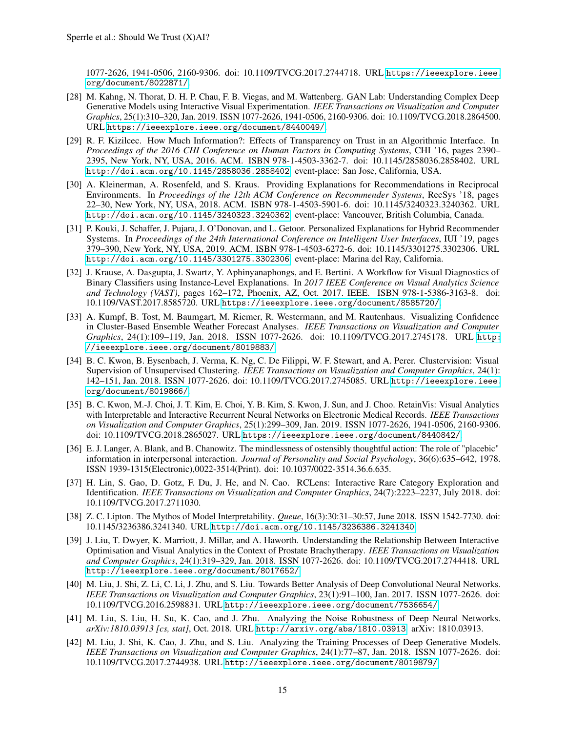1077-2626, 1941-0506, 2160-9306. doi: 10.1109/TVCG.2017.2744718. URL [https://ieeexplore.ieee.](https://ieeexplore.ieee.org/document/8022871/) [org/document/8022871/](https://ieeexplore.ieee.org/document/8022871/).

- <span id="page-14-3"></span>[28] M. Kahng, N. Thorat, D. H. P. Chau, F. B. Viegas, and M. Wattenberg. GAN Lab: Understanding Complex Deep Generative Models using Interactive Visual Experimentation. *IEEE Transactions on Visualization and Computer Graphics*, 25(1):310–320, Jan. 2019. ISSN 1077-2626, 1941-0506, 2160-9306. doi: 10.1109/TVCG.2018.2864500. URL <https://ieeexplore.ieee.org/document/8440049/>.
- <span id="page-14-2"></span>[29] R. F. Kizilcec. How Much Information?: Effects of Transparency on Trust in an Algorithmic Interface. In *Proceedings of the 2016 CHI Conference on Human Factors in Computing Systems*, CHI '16, pages 2390– 2395, New York, NY, USA, 2016. ACM. ISBN 978-1-4503-3362-7. doi: 10.1145/2858036.2858402. URL <http://doi.acm.org/10.1145/2858036.2858402>. event-place: San Jose, California, USA.
- <span id="page-14-1"></span>[30] A. Kleinerman, A. Rosenfeld, and S. Kraus. Providing Explanations for Recommendations in Reciprocal Environments. In *Proceedings of the 12th ACM Conference on Recommender Systems*, RecSys '18, pages 22–30, New York, NY, USA, 2018. ACM. ISBN 978-1-4503-5901-6. doi: 10.1145/3240323.3240362. URL <http://doi.acm.org/10.1145/3240323.3240362>. event-place: Vancouver, British Columbia, Canada.
- <span id="page-14-0"></span>[31] P. Kouki, J. Schaffer, J. Pujara, J. O'Donovan, and L. Getoor. Personalized Explanations for Hybrid Recommender Systems. In *Proceedings of the 24th International Conference on Intelligent User Interfaces*, IUI '19, pages 379–390, New York, NY, USA, 2019. ACM. ISBN 978-1-4503-6272-6. doi: 10.1145/3301275.3302306. URL <http://doi.acm.org/10.1145/3301275.3302306>. event-place: Marina del Ray, California.
- <span id="page-14-4"></span>[32] J. Krause, A. Dasgupta, J. Swartz, Y. Aphinyanaphongs, and E. Bertini. A Workflow for Visual Diagnostics of Binary Classifiers using Instance-Level Explanations. In *2017 IEEE Conference on Visual Analytics Science and Technology (VAST)*, pages 162–172, Phoenix, AZ, Oct. 2017. IEEE. ISBN 978-1-5386-3163-8. doi: 10.1109/VAST.2017.8585720. URL <https://ieeexplore.ieee.org/document/8585720/>.
- <span id="page-14-5"></span>[33] A. Kumpf, B. Tost, M. Baumgart, M. Riemer, R. Westermann, and M. Rautenhaus. Visualizing Confidence in Cluster-Based Ensemble Weather Forecast Analyses. *IEEE Transactions on Visualization and Computer Graphics*, 24(1):109–119, Jan. 2018. ISSN 1077-2626. doi: 10.1109/TVCG.2017.2745178. URL [http:](http://ieeexplore.ieee.org/document/8019883/) [//ieeexplore.ieee.org/document/8019883/](http://ieeexplore.ieee.org/document/8019883/).
- <span id="page-14-6"></span>[34] B. C. Kwon, B. Eysenbach, J. Verma, K. Ng, C. De Filippi, W. F. Stewart, and A. Perer. Clustervision: Visual Supervision of Unsupervised Clustering. *IEEE Transactions on Visualization and Computer Graphics*, 24(1): 142–151, Jan. 2018. ISSN 1077-2626. doi: 10.1109/TVCG.2017.2745085. URL [http://ieeexplore.ieee.](http://ieeexplore.ieee.org/document/8019866/) [org/document/8019866/](http://ieeexplore.ieee.org/document/8019866/).
- <span id="page-14-7"></span>[35] B. C. Kwon, M.-J. Choi, J. T. Kim, E. Choi, Y. B. Kim, S. Kwon, J. Sun, and J. Choo. RetainVis: Visual Analytics with Interpretable and Interactive Recurrent Neural Networks on Electronic Medical Records. *IEEE Transactions on Visualization and Computer Graphics*, 25(1):299–309, Jan. 2019. ISSN 1077-2626, 1941-0506, 2160-9306. doi: 10.1109/TVCG.2018.2865027. URL <https://ieeexplore.ieee.org/document/8440842/>.
- <span id="page-14-14"></span>[36] E. J. Langer, A. Blank, and B. Chanowitz. The mindlessness of ostensibly thoughtful action: The role of "placebic" information in interpersonal interaction. *Journal of Personality and Social Psychology*, 36(6):635–642, 1978. ISSN 1939-1315(Electronic),0022-3514(Print). doi: 10.1037/0022-3514.36.6.635.
- <span id="page-14-8"></span>[37] H. Lin, S. Gao, D. Gotz, F. Du, J. He, and N. Cao. RCLens: Interactive Rare Category Exploration and Identification. *IEEE Transactions on Visualization and Computer Graphics*, 24(7):2223–2237, July 2018. doi: 10.1109/TVCG.2017.2711030.
- <span id="page-14-13"></span>[38] Z. C. Lipton. The Mythos of Model Interpretability. *Queue*, 16(3):30:31–30:57, June 2018. ISSN 1542-7730. doi: 10.1145/3236386.3241340. URL <http://doi.acm.org/10.1145/3236386.3241340>.
- <span id="page-14-11"></span>[39] J. Liu, T. Dwyer, K. Marriott, J. Millar, and A. Haworth. Understanding the Relationship Between Interactive Optimisation and Visual Analytics in the Context of Prostate Brachytherapy. *IEEE Transactions on Visualization and Computer Graphics*, 24(1):319–329, Jan. 2018. ISSN 1077-2626. doi: 10.1109/TVCG.2017.2744418. URL <http://ieeexplore.ieee.org/document/8017652/>.
- <span id="page-14-9"></span>[40] M. Liu, J. Shi, Z. Li, C. Li, J. Zhu, and S. Liu. Towards Better Analysis of Deep Convolutional Neural Networks. *IEEE Transactions on Visualization and Computer Graphics*, 23(1):91–100, Jan. 2017. ISSN 1077-2626. doi: 10.1109/TVCG.2016.2598831. URL <http://ieeexplore.ieee.org/document/7536654/>.
- <span id="page-14-12"></span>[41] M. Liu, S. Liu, H. Su, K. Cao, and J. Zhu. Analyzing the Noise Robustness of Deep Neural Networks. *arXiv:1810.03913 [cs, stat]*, Oct. 2018. URL <http://arxiv.org/abs/1810.03913>. arXiv: 1810.03913.
- <span id="page-14-10"></span>[42] M. Liu, J. Shi, K. Cao, J. Zhu, and S. Liu. Analyzing the Training Processes of Deep Generative Models. *IEEE Transactions on Visualization and Computer Graphics*, 24(1):77–87, Jan. 2018. ISSN 1077-2626. doi: 10.1109/TVCG.2017.2744938. URL <http://ieeexplore.ieee.org/document/8019879/>.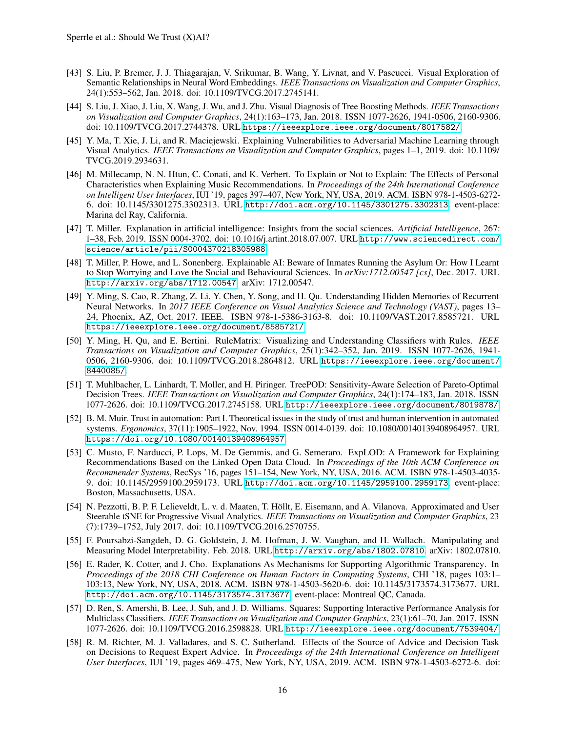- <span id="page-15-9"></span>[43] S. Liu, P. Bremer, J. J. Thiagarajan, V. Srikumar, B. Wang, Y. Livnat, and V. Pascucci. Visual Exploration of Semantic Relationships in Neural Word Embeddings. *IEEE Transactions on Visualization and Computer Graphics*, 24(1):553–562, Jan. 2018. doi: 10.1109/TVCG.2017.2745141.
- <span id="page-15-8"></span>[44] S. Liu, J. Xiao, J. Liu, X. Wang, J. Wu, and J. Zhu. Visual Diagnosis of Tree Boosting Methods. *IEEE Transactions on Visualization and Computer Graphics*, 24(1):163–173, Jan. 2018. ISSN 1077-2626, 1941-0506, 2160-9306. doi: 10.1109/TVCG.2017.2744378. URL <https://ieeexplore.ieee.org/document/8017582/>.
- <span id="page-15-10"></span>[45] Y. Ma, T. Xie, J. Li, and R. Maciejewski. Explaining Vulnerabilities to Adversarial Machine Learning through Visual Analytics. *IEEE Transactions on Visualization and Computer Graphics*, pages 1–1, 2019. doi: 10.1109/ TVCG.2019.2934631.
- <span id="page-15-3"></span>[46] M. Millecamp, N. N. Htun, C. Conati, and K. Verbert. To Explain or Not to Explain: The Effects of Personal Characteristics when Explaining Music Recommendations. In *Proceedings of the 24th International Conference on Intelligent User Interfaces*, IUI '19, pages 397–407, New York, NY, USA, 2019. ACM. ISBN 978-1-4503-6272- 6. doi: 10.1145/3301275.3302313. URL <http://doi.acm.org/10.1145/3301275.3302313>. event-place: Marina del Ray, California.
- <span id="page-15-15"></span>[47] T. Miller. Explanation in artificial intelligence: Insights from the social sciences. *Artificial Intelligence*, 267: 1–38, Feb. 2019. ISSN 0004-3702. doi: 10.1016/j.artint.2018.07.007. URL [http://www.sciencedirect.com/](http://www.sciencedirect.com/science/article/pii/S0004370218305988) [science/article/pii/S0004370218305988](http://www.sciencedirect.com/science/article/pii/S0004370218305988).
- <span id="page-15-0"></span>[48] T. Miller, P. Howe, and L. Sonenberg. Explainable AI: Beware of Inmates Running the Asylum Or: How I Learnt to Stop Worrying and Love the Social and Behavioural Sciences. In *arXiv:1712.00547 [cs]*, Dec. 2017. URL <http://arxiv.org/abs/1712.00547>. arXiv: 1712.00547.
- <span id="page-15-7"></span>[49] Y. Ming, S. Cao, R. Zhang, Z. Li, Y. Chen, Y. Song, and H. Qu. Understanding Hidden Memories of Recurrent Neural Networks. In *2017 IEEE Conference on Visual Analytics Science and Technology (VAST)*, pages 13– 24, Phoenix, AZ, Oct. 2017. IEEE. ISBN 978-1-5386-3163-8. doi: 10.1109/VAST.2017.8585721. URL <https://ieeexplore.ieee.org/document/8585721/>.
- <span id="page-15-11"></span>[50] Y. Ming, H. Qu, and E. Bertini. RuleMatrix: Visualizing and Understanding Classifiers with Rules. *IEEE Transactions on Visualization and Computer Graphics*, 25(1):342–352, Jan. 2019. ISSN 1077-2626, 1941- 0506, 2160-9306. doi: 10.1109/TVCG.2018.2864812. URL [https://ieeexplore.ieee.org/document/](https://ieeexplore.ieee.org/document/8440085/) [8440085/](https://ieeexplore.ieee.org/document/8440085/).
- <span id="page-15-12"></span>[51] T. Muhlbacher, L. Linhardt, T. Moller, and H. Piringer. TreePOD: Sensitivity-Aware Selection of Pareto-Optimal Decision Trees. *IEEE Transactions on Visualization and Computer Graphics*, 24(1):174–183, Jan. 2018. ISSN 1077-2626. doi: 10.1109/TVCG.2017.2745158. URL <http://ieeexplore.ieee.org/document/8019878/>.
- <span id="page-15-2"></span>[52] B. M. Muir. Trust in automation: Part I. Theoretical issues in the study of trust and human intervention in automated systems. *Ergonomics*, 37(11):1905–1922, Nov. 1994. ISSN 0014-0139. doi: 10.1080/00140139408964957. URL <https://doi.org/10.1080/00140139408964957>.
- <span id="page-15-6"></span>[53] C. Musto, F. Narducci, P. Lops, M. De Gemmis, and G. Semeraro. ExpLOD: A Framework for Explaining Recommendations Based on the Linked Open Data Cloud. In *Proceedings of the 10th ACM Conference on Recommender Systems*, RecSys '16, pages 151–154, New York, NY, USA, 2016. ACM. ISBN 978-1-4503-4035- 9. doi: 10.1145/2959100.2959173. URL <http://doi.acm.org/10.1145/2959100.2959173>. event-place: Boston, Massachusetts, USA.
- <span id="page-15-13"></span>[54] N. Pezzotti, B. P. F. Lelieveldt, L. v. d. Maaten, T. Höllt, E. Eisemann, and A. Vilanova. Approximated and User Steerable tSNE for Progressive Visual Analytics. *IEEE Transactions on Visualization and Computer Graphics*, 23 (7):1739–1752, July 2017. doi: 10.1109/TVCG.2016.2570755.
- <span id="page-15-1"></span>[55] F. Poursabzi-Sangdeh, D. G. Goldstein, J. M. Hofman, J. W. Vaughan, and H. Wallach. Manipulating and Measuring Model Interpretability. Feb. 2018. URL <http://arxiv.org/abs/1802.07810>. arXiv: 1802.07810.
- <span id="page-15-5"></span>[56] E. Rader, K. Cotter, and J. Cho. Explanations As Mechanisms for Supporting Algorithmic Transparency. In *Proceedings of the 2018 CHI Conference on Human Factors in Computing Systems*, CHI '18, pages 103:1– 103:13, New York, NY, USA, 2018. ACM. ISBN 978-1-4503-5620-6. doi: 10.1145/3173574.3173677. URL <http://doi.acm.org/10.1145/3173574.3173677>. event-place: Montreal QC, Canada.
- <span id="page-15-14"></span>[57] D. Ren, S. Amershi, B. Lee, J. Suh, and J. D. Williams. Squares: Supporting Interactive Performance Analysis for Multiclass Classifiers. *IEEE Transactions on Visualization and Computer Graphics*, 23(1):61–70, Jan. 2017. ISSN 1077-2626. doi: 10.1109/TVCG.2016.2598828. URL <http://ieeexplore.ieee.org/document/7539404/>.
- <span id="page-15-4"></span>[58] R. M. Richter, M. J. Valladares, and S. C. Sutherland. Effects of the Source of Advice and Decision Task on Decisions to Request Expert Advice. In *Proceedings of the 24th International Conference on Intelligent User Interfaces*, IUI '19, pages 469–475, New York, NY, USA, 2019. ACM. ISBN 978-1-4503-6272-6. doi: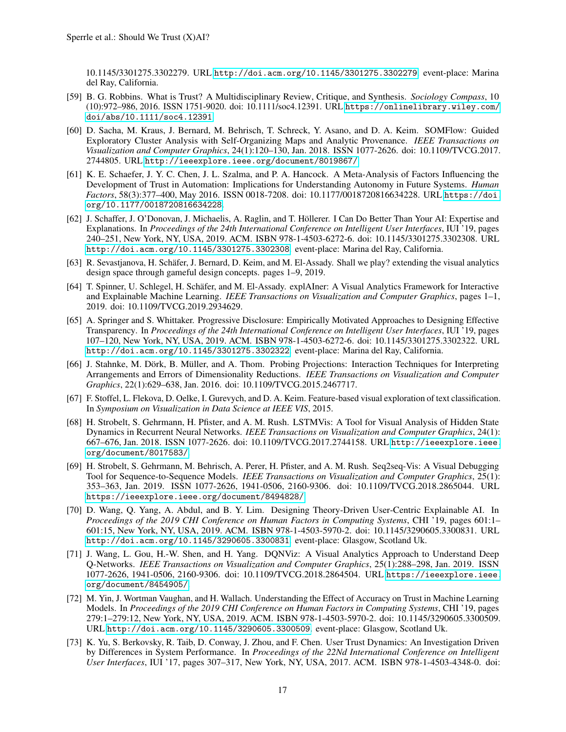10.1145/3301275.3302279. URL <http://doi.acm.org/10.1145/3301275.3302279>. event-place: Marina del Ray, California.

- <span id="page-16-1"></span>[59] B. G. Robbins. What is Trust? A Multidisciplinary Review, Critique, and Synthesis. *Sociology Compass*, 10 (10):972–986, 2016. ISSN 1751-9020. doi: 10.1111/soc4.12391. URL [https://onlinelibrary.wiley.com/](https://onlinelibrary.wiley.com/doi/abs/10.1111/soc4.12391) [doi/abs/10.1111/soc4.12391](https://onlinelibrary.wiley.com/doi/abs/10.1111/soc4.12391).
- <span id="page-16-8"></span>[60] D. Sacha, M. Kraus, J. Bernard, M. Behrisch, T. Schreck, Y. Asano, and D. A. Keim. SOMFlow: Guided Exploratory Cluster Analysis with Self-Organizing Maps and Analytic Provenance. *IEEE Transactions on Visualization and Computer Graphics*, 24(1):120–130, Jan. 2018. ISSN 1077-2626. doi: 10.1109/TVCG.2017. 2744805. URL <http://ieeexplore.ieee.org/document/8019867/>.
- <span id="page-16-2"></span>[61] K. E. Schaefer, J. Y. C. Chen, J. L. Szalma, and P. A. Hancock. A Meta-Analysis of Factors Influencing the Development of Trust in Automation: Implications for Understanding Autonomy in Future Systems. *Human Factors*, 58(3):377–400, May 2016. ISSN 0018-7208. doi: 10.1177/0018720816634228. URL [https://doi.](https://doi.org/10.1177/0018720816634228) [org/10.1177/0018720816634228](https://doi.org/10.1177/0018720816634228).
- <span id="page-16-4"></span>[62] J. Schaffer, J. O'Donovan, J. Michaelis, A. Raglin, and T. Höllerer. I Can Do Better Than Your AI: Expertise and Explanations. In *Proceedings of the 24th International Conference on Intelligent User Interfaces*, IUI '19, pages 240–251, New York, NY, USA, 2019. ACM. ISBN 978-1-4503-6272-6. doi: 10.1145/3301275.3302308. URL <http://doi.acm.org/10.1145/3301275.3302308>. event-place: Marina del Ray, California.
- <span id="page-16-14"></span>[63] R. Sevastjanova, H. Schäfer, J. Bernard, D. Keim, and M. El-Assady. Shall we play? extending the visual analytics design space through gameful design concepts. pages 1–9, 2019.
- <span id="page-16-0"></span>[64] T. Spinner, U. Schlegel, H. Schäfer, and M. El-Assady. explAIner: A Visual Analytics Framework for Interactive and Explainable Machine Learning. *IEEE Transactions on Visualization and Computer Graphics*, pages 1–1, 2019. doi: 10.1109/TVCG.2019.2934629.
- <span id="page-16-5"></span>[65] A. Springer and S. Whittaker. Progressive Disclosure: Empirically Motivated Approaches to Designing Effective Transparency. In *Proceedings of the 24th International Conference on Intelligent User Interfaces*, IUI '19, pages 107–120, New York, NY, USA, 2019. ACM. ISBN 978-1-4503-6272-6. doi: 10.1145/3301275.3302322. URL <http://doi.acm.org/10.1145/3301275.3302322>. event-place: Marina del Ray, California.
- <span id="page-16-9"></span>[66] J. Stahnke, M. Dörk, B. Müller, and A. Thom. Probing Projections: Interaction Techniques for Interpreting Arrangements and Errors of Dimensionality Reductions. *IEEE Transactions on Visualization and Computer Graphics*, 22(1):629–638, Jan. 2016. doi: 10.1109/TVCG.2015.2467717.
- <span id="page-16-10"></span>[67] F. Stoffel, L. Flekova, D. Oelke, I. Gurevych, and D. A. Keim. Feature-based visual exploration of text classification. In *Symposium on Visualization in Data Science at IEEE VIS*, 2015.
- <span id="page-16-11"></span>[68] H. Strobelt, S. Gehrmann, H. Pfister, and A. M. Rush. LSTMVis: A Tool for Visual Analysis of Hidden State Dynamics in Recurrent Neural Networks. *IEEE Transactions on Visualization and Computer Graphics*, 24(1): 667–676, Jan. 2018. ISSN 1077-2626. doi: 10.1109/TVCG.2017.2744158. URL [http://ieeexplore.ieee.](http://ieeexplore.ieee.org/document/8017583/) [org/document/8017583/](http://ieeexplore.ieee.org/document/8017583/).
- <span id="page-16-12"></span>[69] H. Strobelt, S. Gehrmann, M. Behrisch, A. Perer, H. Pfister, and A. M. Rush. Seq2seq-Vis: A Visual Debugging Tool for Sequence-to-Sequence Models. *IEEE Transactions on Visualization and Computer Graphics*, 25(1): 353–363, Jan. 2019. ISSN 1077-2626, 1941-0506, 2160-9306. doi: 10.1109/TVCG.2018.2865044. URL <https://ieeexplore.ieee.org/document/8494828/>.
- <span id="page-16-3"></span>[70] D. Wang, Q. Yang, A. Abdul, and B. Y. Lim. Designing Theory-Driven User-Centric Explainable AI. In *Proceedings of the 2019 CHI Conference on Human Factors in Computing Systems*, CHI '19, pages 601:1– 601:15, New York, NY, USA, 2019. ACM. ISBN 978-1-4503-5970-2. doi: 10.1145/3290605.3300831. URL <http://doi.acm.org/10.1145/3290605.3300831>. event-place: Glasgow, Scotland Uk.
- <span id="page-16-13"></span>[71] J. Wang, L. Gou, H.-W. Shen, and H. Yang. DQNViz: A Visual Analytics Approach to Understand Deep Q-Networks. *IEEE Transactions on Visualization and Computer Graphics*, 25(1):288–298, Jan. 2019. ISSN 1077-2626, 1941-0506, 2160-9306. doi: 10.1109/TVCG.2018.2864504. URL [https://ieeexplore.ieee.](https://ieeexplore.ieee.org/document/8454905/) [org/document/8454905/](https://ieeexplore.ieee.org/document/8454905/).
- <span id="page-16-6"></span>[72] M. Yin, J. Wortman Vaughan, and H. Wallach. Understanding the Effect of Accuracy on Trust in Machine Learning Models. In *Proceedings of the 2019 CHI Conference on Human Factors in Computing Systems*, CHI '19, pages 279:1–279:12, New York, NY, USA, 2019. ACM. ISBN 978-1-4503-5970-2. doi: 10.1145/3290605.3300509. URL <http://doi.acm.org/10.1145/3290605.3300509>. event-place: Glasgow, Scotland Uk.
- <span id="page-16-7"></span>[73] K. Yu, S. Berkovsky, R. Taib, D. Conway, J. Zhou, and F. Chen. User Trust Dynamics: An Investigation Driven by Differences in System Performance. In *Proceedings of the 22Nd International Conference on Intelligent User Interfaces*, IUI '17, pages 307–317, New York, NY, USA, 2017. ACM. ISBN 978-1-4503-4348-0. doi: